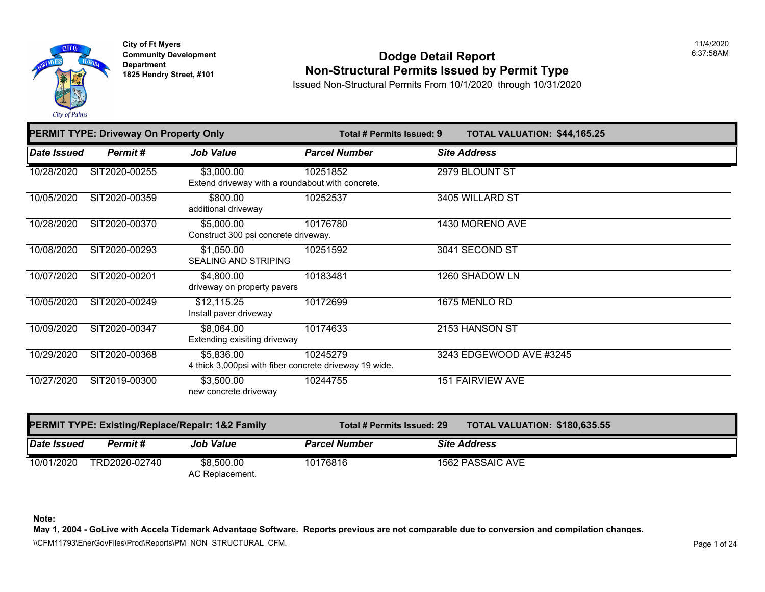

### **Community Development Community Development 1825 Non-Structural Permits Issued by Permit Type**

Issued Non-Structural Permits From 10/1/2020 through 10/31/2020

| <b>PERMIT TYPE: Driveway On Property Only</b> |               |                                                                      | Total # Permits Issued: 9 | <b>TOTAL VALUATION: \$44,165</b> |
|-----------------------------------------------|---------------|----------------------------------------------------------------------|---------------------------|----------------------------------|
| Date Issued                                   | Permit#       | <b>Job Value</b>                                                     | <b>Parcel Number</b>      | <b>Site Address</b>              |
| 10/28/2020                                    | SIT2020-00255 | \$3,000.00<br>Extend driveway with a roundabout with concrete.       | 10251852                  | 2979 BLOUNT ST                   |
| 10/05/2020                                    | SIT2020-00359 | \$800.00<br>additional driveway                                      | 10252537                  | 3405 WILLARD ST                  |
| 10/28/2020                                    | SIT2020-00370 | \$5,000.00<br>Construct 300 psi concrete driveway.                   | 10176780                  | 1430 MORENO AVE                  |
| 10/08/2020                                    | SIT2020-00293 | \$1,050.00<br><b>SEALING AND STRIPING</b>                            | 10251592                  | 3041 SECOND ST                   |
| 10/07/2020                                    | SIT2020-00201 | \$4,800.00<br>driveway on property pavers                            | 10183481                  | 1260 SHADOW LN                   |
| 10/05/2020                                    | SIT2020-00249 | \$12,115.25<br>Install paver driveway                                | 10172699                  | 1675 MENLO RD                    |
| 10/09/2020                                    | SIT2020-00347 | \$8,064.00<br>Extending exisiting driveway                           | 10174633                  | 2153 HANSON ST                   |
| 10/29/2020                                    | SIT2020-00368 | \$5,836.00<br>4 thick 3,000psi with fiber concrete driveway 19 wide. | 10245279                  | 3243 EDGEWOOD AVE #3245          |
| 10/27/2020                                    | SIT2019-00300 | \$3,500.00<br>new concrete driveway                                  | 10244755                  | <b>151 FAIRVIEW AVE</b>          |

|             |               | <b>PERMIT TYPE: Existing/Replace/Repair: 1&amp;2 Family</b> | <b>TOTAL VALUATION: \$180,63</b><br>Total # Permits Issued: 29 |  |                     |  |
|-------------|---------------|-------------------------------------------------------------|----------------------------------------------------------------|--|---------------------|--|
| Date Issued | Permit #      | <b>Job Value</b>                                            | <b>Parcel Number</b>                                           |  | <b>Site Address</b> |  |
| 10/01/2020  | TRD2020-02740 | \$8,500.00<br>AC Replacement.                               | 10176816                                                       |  | 1562 PASSAIC AVE    |  |

**Note:**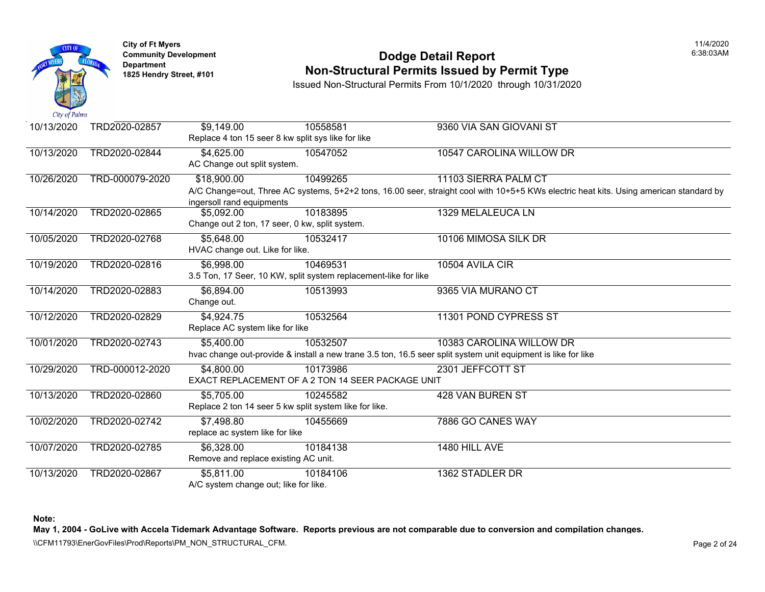

# **Community Development Community Development Non-Structural Permits Issued by Permit Type**

Issued Non-Structural Permits From 10/1/2020 through 10/31/2020

| 10/13/2020 | TRD2020-02857   | \$9,149.00<br>Replace 4 ton 15 seer 8 kw split sys like for like                          | 10558581 | 9360 VIA SAN GIOVANI ST                                                                                                                   |
|------------|-----------------|-------------------------------------------------------------------------------------------|----------|-------------------------------------------------------------------------------------------------------------------------------------------|
| 10/13/2020 | TRD2020-02844   | \$4,625.00<br>AC Change out split system.                                                 | 10547052 | 10547 CAROLINA WILLOW DR                                                                                                                  |
| 10/26/2020 | TRD-000079-2020 | \$18,900.00                                                                               | 10499265 | 11103 SIERRA PALM CT<br>A/C Change=out, Three AC systems, 5+2+2 tons, 16.00 seer, straight cool with 10+5+5 KWs electric hea              |
| 10/14/2020 | TRD2020-02865   | ingersoll rand equipments<br>\$5,092.00<br>Change out 2 ton, 17 seer, 0 kw, split system. | 10183895 | 1329 MELALEUCA LN                                                                                                                         |
| 10/05/2020 | TRD2020-02768   | \$5,648.00<br>HVAC change out. Like for like.                                             | 10532417 | 10106 MIMOSA SILK DR                                                                                                                      |
| 10/19/2020 | TRD2020-02816   | \$6,998.00<br>3.5 Ton, 17 Seer, 10 KW, split system replacement-like for like             | 10469531 | 10504 AVILA CIR                                                                                                                           |
| 10/14/2020 | TRD2020-02883   | \$6,894.00<br>Change out.                                                                 | 10513993 | 9365 VIA MURANO CT                                                                                                                        |
| 10/12/2020 | TRD2020-02829   | \$4,924.75<br>Replace AC system like for like                                             | 10532564 | 11301 POND CYPRESS ST                                                                                                                     |
| 10/01/2020 | TRD2020-02743   | \$5,400.00                                                                                | 10532507 | 10383 CAROLINA WILLOW DR<br>hvac change out-provide & install a new trane 3.5 ton, 16.5 seer split system unit equipment is like for like |
| 10/29/2020 | TRD-000012-2020 | \$4,800.00<br>EXACT REPLACEMENT OF A 2 TON 14 SEER PACKAGE UNIT                           | 10173986 | 2301 JEFFCOTT ST                                                                                                                          |
| 10/13/2020 | TRD2020-02860   | \$5,705.00<br>Replace 2 ton 14 seer 5 kw split system like for like.                      | 10245582 | 428 VAN BUREN ST                                                                                                                          |
| 10/02/2020 | TRD2020-02742   | \$7,498.80<br>replace ac system like for like                                             | 10455669 | 7886 GO CANES WAY                                                                                                                         |
| 10/07/2020 | TRD2020-02785   | \$6,328.00<br>Remove and replace existing AC unit.                                        | 10184138 | 1480 HILL AVE                                                                                                                             |
| 10/13/2020 | TRD2020-02867   | \$5,811.00<br>A/C system change out; like for like.                                       | 10184106 | 1362 STADLER DR                                                                                                                           |

**Note:**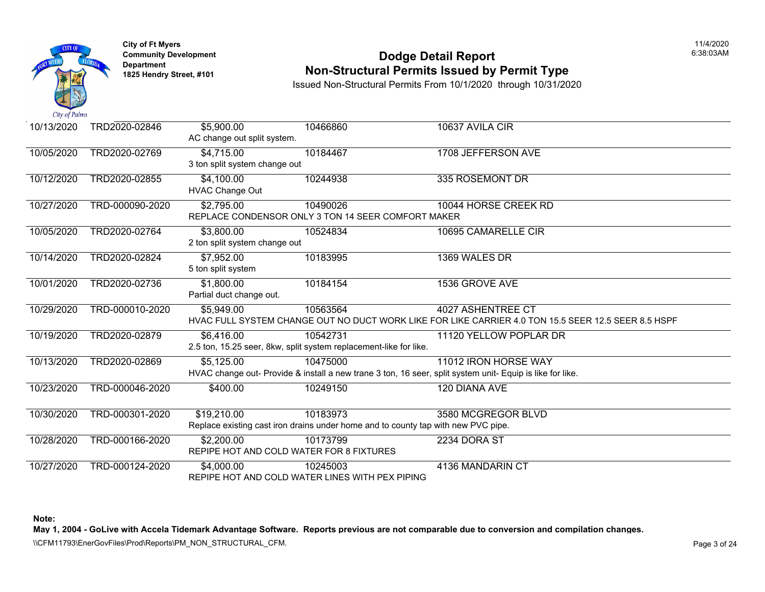

# **Community Development Community Development** Dodge Detail Report **Non-Structural Permits Issued by Permit Type**

Issued Non-Structural Permits From 10/1/2020 through 10/31/2020

| 10/13/2020 | TRD2020-02846   | \$5,900.00<br>AC change out split system. | 10466860                                                                          | 10637 AVILA CIR                                                                                           |
|------------|-----------------|-------------------------------------------|-----------------------------------------------------------------------------------|-----------------------------------------------------------------------------------------------------------|
|            |                 |                                           |                                                                                   |                                                                                                           |
| 10/05/2020 | TRD2020-02769   | \$4,715.00                                | 10184467                                                                          | 1708 JEFFERSON AVE                                                                                        |
|            |                 | 3 ton split system change out             |                                                                                   |                                                                                                           |
| 10/12/2020 | TRD2020-02855   | \$4,100.00                                | 10244938                                                                          | 335 ROSEMONT DR                                                                                           |
|            |                 | <b>HVAC Change Out</b>                    |                                                                                   |                                                                                                           |
| 10/27/2020 | TRD-000090-2020 | \$2,795.00                                | 10490026                                                                          | 10044 HORSE CREEK RD                                                                                      |
|            |                 |                                           | REPLACE CONDENSOR ONLY 3 TON 14 SEER COMFORT MAKER                                |                                                                                                           |
| 10/05/2020 | TRD2020-02764   | \$3,800.00                                | 10524834                                                                          | 10695 CAMARELLE CIR                                                                                       |
|            |                 | 2 ton split system change out             |                                                                                   |                                                                                                           |
| 10/14/2020 | TRD2020-02824   | \$7,952.00                                | 10183995                                                                          | 1369 WALES DR                                                                                             |
|            |                 | 5 ton split system                        |                                                                                   |                                                                                                           |
| 10/01/2020 | TRD2020-02736   | \$1,800.00                                | 10184154                                                                          | 1536 GROVE AVE                                                                                            |
|            |                 | Partial duct change out.                  |                                                                                   |                                                                                                           |
| 10/29/2020 | TRD-000010-2020 | \$5,949.00                                | 10563564                                                                          | 4027 ASHENTREE CT                                                                                         |
|            |                 |                                           |                                                                                   | HVAC FULL SYSTEM CHANGE OUT NO DUCT WORK LIKE FOR LIKE CARRIER 4.0 TON 15.5 SEER                          |
| 10/19/2020 | TRD2020-02879   | \$6,416.00                                | 10542731                                                                          | 11120 YELLOW POPLAR DR                                                                                    |
|            |                 |                                           | 2.5 ton, 15.25 seer, 8kw, split system replacement-like for like.                 |                                                                                                           |
| 10/13/2020 | TRD2020-02869   | \$5,125.00                                | 10475000                                                                          | 11012 IRON HORSE WAY                                                                                      |
|            |                 |                                           |                                                                                   | HVAC change out- Provide & install a new trane 3 ton, 16 seer, split system unit- Equip is like for like. |
| 10/23/2020 | TRD-000046-2020 | \$400.00                                  | 10249150                                                                          | 120 DIANA AVE                                                                                             |
|            |                 |                                           |                                                                                   |                                                                                                           |
| 10/30/2020 | TRD-000301-2020 | \$19,210.00                               | 10183973                                                                          | 3580 MCGREGOR BLVD                                                                                        |
|            |                 |                                           | Replace existing cast iron drains under home and to county tap with new PVC pipe. |                                                                                                           |
| 10/28/2020 | TRD-000166-2020 | \$2,200.00                                | 10173799                                                                          | 2234 DORA ST                                                                                              |
|            |                 |                                           | REPIPE HOT AND COLD WATER FOR 8 FIXTURES                                          |                                                                                                           |
| 10/27/2020 | TRD-000124-2020 | \$4,000.00                                | 10245003                                                                          | 4136 MANDARIN CT                                                                                          |
|            |                 |                                           | REPIPE HOT AND COLD WATER LINES WITH PEX PIPING                                   |                                                                                                           |

**Note:**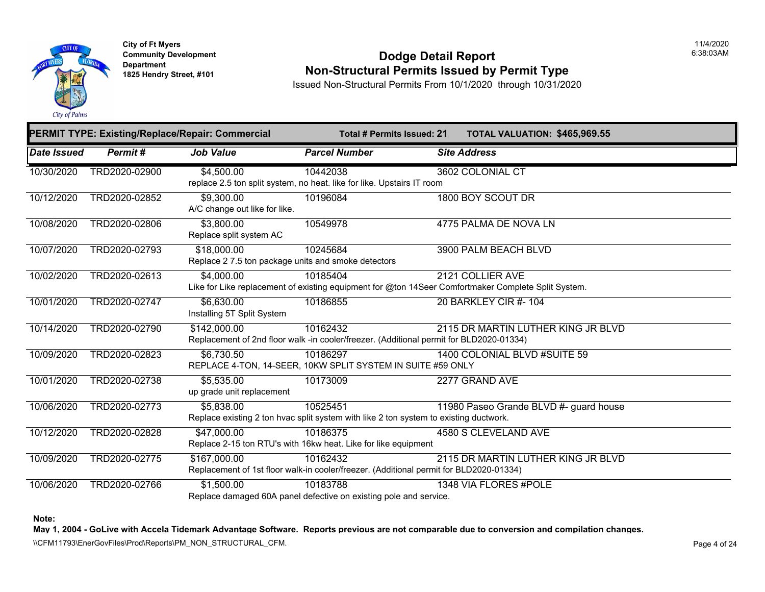

#### **Community Developm[ent](https://3,800.00) <b>Dodge Detail Report 1825 Non-Structural Permits Issued by Permit Type**

Issued Non-Structural Permits From 10/1/2020 through 10/31/2020

|                    |                | <b>PERMIT TYPE: Existing/Replace/Repair: Commercial</b>            | <b>Total # Permits Issued: 21</b>                                                                               | <b>TOTAL VALUATION: \$465,96</b> |
|--------------------|----------------|--------------------------------------------------------------------|-----------------------------------------------------------------------------------------------------------------|----------------------------------|
| <b>Date Issued</b> | <b>Permit#</b> | <b>Job Value</b>                                                   | <b>Parcel Number</b>                                                                                            | <b>Site Address</b>              |
| 10/30/2020         | TRD2020-02900  | \$4,500.00                                                         | 10442038<br>replace 2.5 ton split system, no heat. like for like. Upstairs IT room                              | 3602 COLONIAL CT                 |
| 10/12/2020         | TRD2020-02852  | \$9,300.00<br>A/C change out like for like.                        | 10196084                                                                                                        | 1800 BOY SCOUT DR                |
| 10/08/2020         | TRD2020-02806  | \$3,800.00<br>Replace split system AC                              | 10549978                                                                                                        | 4775 PALMA DE NOVA LN            |
| 10/07/2020         | TRD2020-02793  | \$18,000.00<br>Replace 2 7.5 ton package units and smoke detectors | 10245684                                                                                                        | 3900 PALM BEACH BLVD             |
| 10/02/2020         | TRD2020-02613  | \$4,000.00                                                         | 10185404<br>Like for Like replacement of existing equipment for @ton 14Seer Comfortmaker Complete Split System. | 2121 COLLIER AVE                 |
| 10/01/2020         | TRD2020-02747  | \$6,630.00<br>Installing 5T Split System                           | 10186855                                                                                                        | 20 BARKLEY CIR #- 104            |
| 10/14/2020         | TRD2020-02790  | \$142,000.00                                                       | 10162432<br>Replacement of 2nd floor walk -in cooler/freezer. (Additional permit for BLD2020-01334)             | 2115 DR MARTIN LUTHER KING J     |
| 10/09/2020         | TRD2020-02823  | \$6,730.50                                                         | 10186297<br>REPLACE 4-TON, 14-SEER, 10KW SPLIT SYSTEM IN SUITE #59 ONLY                                         | 1400 COLONIAL BLVD #SUITE 59     |
| 10/01/2020         | TRD2020-02738  | \$5,535.00<br>up grade unit replacement                            | 10173009                                                                                                        | 2277 GRAND AVE                   |
| 10/06/2020         | TRD2020-02773  | \$5,838.00                                                         | 10525451<br>Replace existing 2 ton hvac split system with like 2 ton system to existing ductwork.               | 11980 Paseo Grande BLVD #- guar  |
| 10/12/2020         | TRD2020-02828  | \$47,000.00                                                        | 10186375<br>Replace 2-15 ton RTU's with 16kw heat. Like for like equipment                                      | 4580 S CLEVELAND AVE             |
| 10/09/2020         | TRD2020-02775  | \$167,000.00                                                       | 10162432<br>Replacement of 1st floor walk-in cooler/freezer. (Additional permit for BLD2020-01334)              | 2115 DR MARTIN LUTHER KING J     |
| 10/06/2020         | TRD2020-02766  | \$1,500.00                                                         | 10183788<br>Replace damaged 60A panel defective on existing pole and service.                                   | 1348 VIA FLORES #POLE            |

**Note:**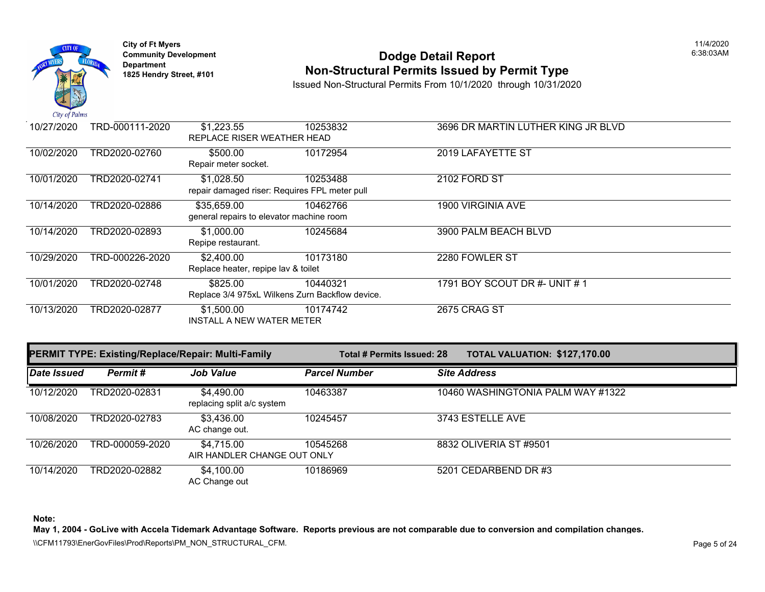

# **Community Development Community Development** Dodge Detail Report **Non-Structural Permits Issued by Permit Type**

Issued Non-Structural Permits From 10/1/2020 through 10/31/2020

| 10/27/2020 | TRD-000111-2020 | \$1,223.55                               | 10253832                                        | 3696 DR MARTIN LUTHER KING JI |
|------------|-----------------|------------------------------------------|-------------------------------------------------|-------------------------------|
|            |                 | REPLACE RISER WEATHER HEAD               |                                                 |                               |
| 10/02/2020 | TRD2020-02760   | \$500.00                                 | 10172954                                        | 2019 LAFAYETTE ST             |
|            |                 | Repair meter socket.                     |                                                 |                               |
| 10/01/2020 | TRD2020-02741   | \$1,028.50                               | 10253488                                        | 2102 FORD ST                  |
|            |                 |                                          | repair damaged riser: Requires FPL meter pull   |                               |
| 10/14/2020 | TRD2020-02886   | \$35,659.00                              | 10462766                                        | 1900 VIRGINIA AVE             |
|            |                 | general repairs to elevator machine room |                                                 |                               |
| 10/14/2020 | TRD2020-02893   | \$1,000.00                               | 10245684                                        | 3900 PALM BEACH BLVD          |
|            |                 | Repipe restaurant.                       |                                                 |                               |
| 10/29/2020 | TRD-000226-2020 | \$2,400.00                               | 10173180                                        | 2280 FOWLER ST                |
|            |                 | Replace heater, repipe lav & toilet      |                                                 |                               |
| 10/01/2020 | TRD2020-02748   | \$825.00                                 | 10440321                                        | 1791 BOY SCOUT DR #- UNIT # 1 |
|            |                 |                                          | Replace 3/4 975xL Wilkens Zurn Backflow device. |                               |
| 10/13/2020 | TRD2020-02877   | \$1,500.00                               | 10174742                                        | <b>2675 CRAG ST</b>           |
|            |                 | <b>INSTALL A NEW WATER METER</b>         |                                                 |                               |

| <b>PERMIT TYPE: Existing/Replace/Repair: Multi-Family</b> |                 |                                           | Total # Permits Issued: 28 | <b>TOTAL VALUATION: \$127,17</b> |
|-----------------------------------------------------------|-----------------|-------------------------------------------|----------------------------|----------------------------------|
| Date Issued                                               | Permit#         | <b>Job Value</b>                          | <b>Parcel Number</b>       | <b>Site Address</b>              |
| 10/12/2020                                                | TRD2020-02831   | \$4,490.00<br>replacing split a/c system  | 10463387                   | 10460 WASHINGTONIA PALM WAT      |
| 10/08/2020                                                | TRD2020-02783   | \$3,436.00<br>AC change out.              | 10245457                   | 3743 ESTELLE AVE                 |
| 10/26/2020                                                | TRD-000059-2020 | \$4,715.00<br>AIR HANDLER CHANGE OUT ONLY | 10545268                   | 8832 OLIVERIA ST #9501           |
| 10/14/2020                                                | TRD2020-02882   | \$4,100.00<br>AC Change out               | 10186969                   | 5201 CEDARBEND DR #3             |

**Note:**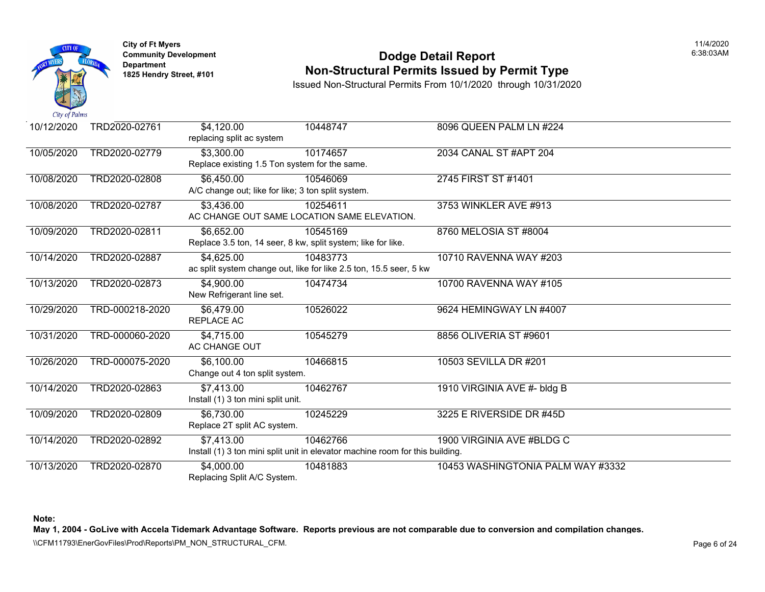

# **Community Developm[ent](https://6,652.00) <b>Dodge Detail Report Non-Structural Permits Issued by Permit Type**

Issued Non-Structural Permits From 10/1/2020 through 10/31/2020

| 10/12/2020 | TRD2020-02761   | \$4,120.00<br>replacing split ac system            | 10448747                                                                      | 8096 QUEEN PALM LN #224     |
|------------|-----------------|----------------------------------------------------|-------------------------------------------------------------------------------|-----------------------------|
| 10/05/2020 | TRD2020-02779   | \$3,300.00                                         | 10174657                                                                      | 2034 CANAL ST #APT 204      |
|            |                 | Replace existing 1.5 Ton system for the same.      |                                                                               |                             |
| 10/08/2020 | TRD2020-02808   | \$6,450.00                                         | 10546069                                                                      | 2745 FIRST ST #1401         |
|            |                 | A/C change out; like for like; 3 ton split system. |                                                                               |                             |
| 10/08/2020 | TRD2020-02787   | \$3,436.00                                         | 10254611                                                                      | 3753 WINKLER AVE #913       |
|            |                 |                                                    | AC CHANGE OUT SAME LOCATION SAME ELEVATION.                                   |                             |
| 10/09/2020 | TRD2020-02811   | \$6,652.00                                         | 10545169                                                                      | 8760 MELOSIA ST #8004       |
|            |                 |                                                    | Replace 3.5 ton, 14 seer, 8 kw, split system; like for like.                  |                             |
| 10/14/2020 | TRD2020-02887   | \$4,625.00                                         | 10483773                                                                      | 10710 RAVENNA WAY #203      |
|            |                 |                                                    | ac split system change out, like for like 2.5 ton, 15.5 seer, 5 kw            |                             |
| 10/13/2020 | TRD2020-02873   | \$4,900.00                                         | 10474734                                                                      | 10700 RAVENNA WAY #105      |
|            |                 | New Refrigerant line set.                          |                                                                               |                             |
| 10/29/2020 | TRD-000218-2020 | \$6,479.00                                         | 10526022                                                                      | 9624 HEMINGWAY LN #4007     |
|            |                 | REPLACE AC                                         |                                                                               |                             |
| 10/31/2020 | TRD-000060-2020 | \$4,715.00                                         | 10545279                                                                      | 8856 OLIVERIA ST #9601      |
|            |                 | AC CHANGE OUT                                      |                                                                               |                             |
| 10/26/2020 | TRD-000075-2020 | \$6,100.00                                         | 10466815                                                                      | 10503 SEVILLA DR #201       |
|            |                 | Change out 4 ton split system.                     |                                                                               |                             |
| 10/14/2020 | TRD2020-02863   | \$7,413.00                                         | 10462767                                                                      | 1910 VIRGINIA AVE #- bldg B |
|            |                 | Install (1) 3 ton mini split unit.                 |                                                                               |                             |
| 10/09/2020 | TRD2020-02809   | \$6,730.00                                         | 10245229                                                                      | 3225 E RIVERSIDE DR #45D    |
|            |                 | Replace 2T split AC system.                        |                                                                               |                             |
| 10/14/2020 | TRD2020-02892   | \$7,413.00                                         | 10462766                                                                      | 1900 VIRGINIA AVE #BLDG C   |
|            |                 |                                                    | Install (1) 3 ton mini split unit in elevator machine room for this building. |                             |
| 10/13/2020 | TRD2020-02870   | \$4,000.00                                         | 10481883                                                                      | 10453 WASHINGTONIA PALM WAY |
|            |                 | Replacing Split A/C System.                        |                                                                               |                             |

**Note:**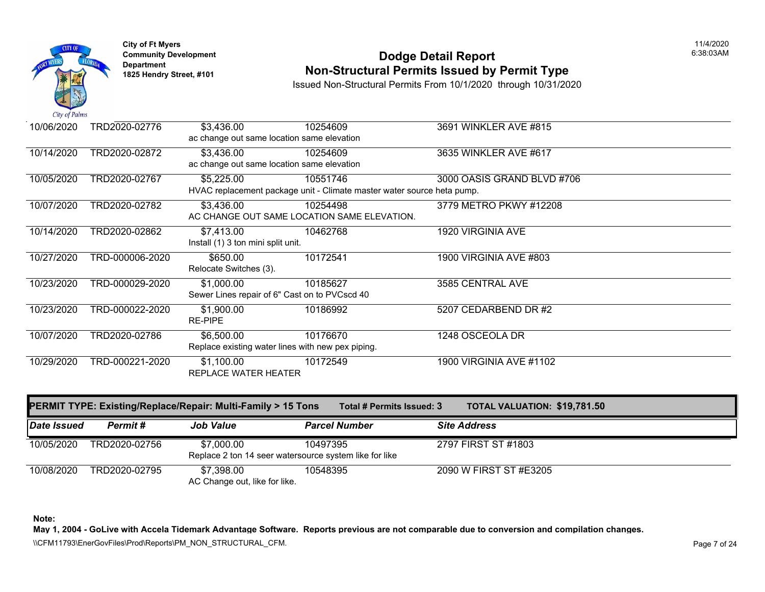

# **Community Development Community Development** Dodge Detail Report **Non-Structural Permits Issued by Permit Type**

Issued Non-Structural Permits From 10/1/2020 through 10/31/2020

| 10/06/2020 | TRD2020-02776   | \$3,436.00                                        | 10254609                                                               | 3691 WINKLER AVE #815      |
|------------|-----------------|---------------------------------------------------|------------------------------------------------------------------------|----------------------------|
|            |                 | ac change out same location same elevation        |                                                                        |                            |
| 10/14/2020 | TRD2020-02872   | \$3,436.00                                        | 10254609                                                               | 3635 WINKLER AVE #617      |
|            |                 | ac change out same location same elevation        |                                                                        |                            |
| 10/05/2020 | TRD2020-02767   | \$5,225.00                                        | 10551746                                                               | 3000 OASIS GRAND BLVD #706 |
|            |                 |                                                   | HVAC replacement package unit - Climate master water source heta pump. |                            |
| 10/07/2020 | TRD2020-02782   | \$3,436.00                                        | 10254498                                                               | 3779 METRO PKWY #12208     |
|            |                 |                                                   | AC CHANGE OUT SAME LOCATION SAME ELEVATION.                            |                            |
| 10/14/2020 | TRD2020-02862   | \$7,413.00                                        | 10462768                                                               | 1920 VIRGINIA AVE          |
|            |                 | Install (1) 3 ton mini split unit.                |                                                                        |                            |
| 10/27/2020 | TRD-000006-2020 | \$650.00                                          | 10172541                                                               | 1900 VIRGINIA AVE #803     |
|            |                 | Relocate Switches (3).                            |                                                                        |                            |
| 10/23/2020 | TRD-000029-2020 | \$1,000.00                                        | 10185627                                                               | 3585 CENTRAL AVE           |
|            |                 | Sewer Lines repair of 6" Cast on to PVCscd 40     |                                                                        |                            |
| 10/23/2020 | TRD-000022-2020 | \$1,900.00                                        | 10186992                                                               | 5207 CEDARBEND DR #2       |
|            |                 | <b>RE-PIPE</b>                                    |                                                                        |                            |
| 10/07/2020 | TRD2020-02786   | \$6,500.00                                        | 10176670                                                               | 1248 OSCEOLA DR            |
|            |                 | Replace existing water lines with new pex piping. |                                                                        |                            |
| 10/29/2020 | TRD-000221-2020 | \$1,100.00                                        | 10172549                                                               | 1900 VIRGINIA AVE #1102    |
|            |                 | REPLACE WATER HEATER                              |                                                                        |                            |

|             |               | <b>PERMIT TYPE: Existing/Replace/Repair: Multi-Family &gt; 15 Tons</b> | Total # Permits Issued: 3 | <b>TOTAL VALUATION: \$19,781</b> |  |
|-------------|---------------|------------------------------------------------------------------------|---------------------------|----------------------------------|--|
| Date Issued | Permit #      | <b>Job Value</b>                                                       | <b>Parcel Number</b>      | <b>Site Address</b>              |  |
| 10/05/2020  | TRD2020-02756 | \$7,000.00                                                             | 10497395                  | 2797 FIRST ST #1803              |  |
|             |               | Replace 2 ton 14 seer watersource system like for like                 |                           |                                  |  |
| 10/08/2020  | TRD2020-02795 | \$7.398.00                                                             | 10548395                  | 2090 W FIRST ST #E3205           |  |
|             |               | AC Change out, like for like.                                          |                           |                                  |  |

**Note:**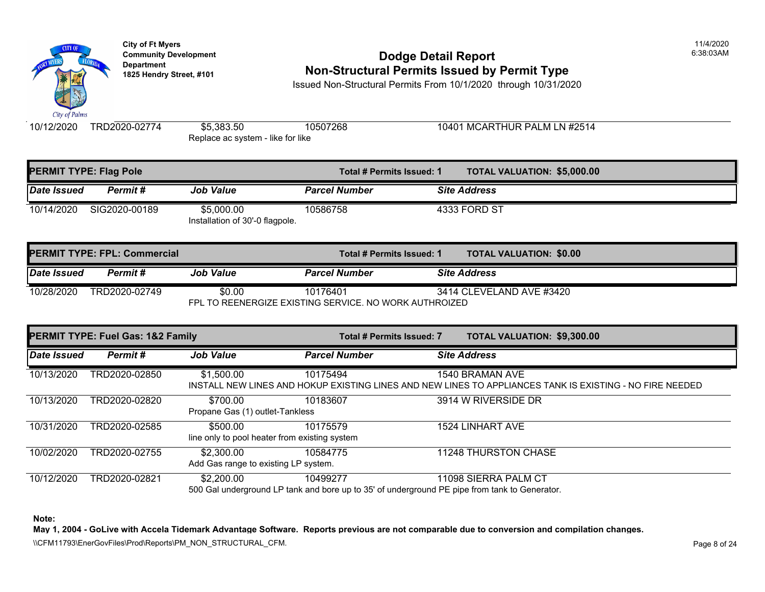

# **Community Development Community Development 1825 Hendry Street, #101 Non-Structural Permits Issued by Permit Type**

Issued Non-Structural Permits From 10/1/2020 through 10/31/2020

10/12/2020 TRD2020-02774 \$5,383.50 10507268 10401 MCARTHUR PALM LN #2514 Replace ac system - like for like

| <b>PERMIT TYPE: Flag Pole</b> |               |                                               | Total # Permits Issued: 1 | <b>TOTAL VALUATION: \$5,000.0</b> |
|-------------------------------|---------------|-----------------------------------------------|---------------------------|-----------------------------------|
| Date Issued                   | Permit #      | <b>Job Value</b>                              | <b>Parcel Number</b>      | <b>Site Address</b>               |
| 10/14/2020                    | SIG2020-00189 | \$5,000.00<br>Installation of 30'-0 flagpole. | 10586758                  | 4333 FORD ST                      |

|                                                        | <b>IPERMIT TYPE: FPL: Commercial</b> |           | Total # Permits Issued: 1 |                          | <b>TOTAL VALUATION: \$0.00</b> |  |
|--------------------------------------------------------|--------------------------------------|-----------|---------------------------|--------------------------|--------------------------------|--|
| Date Issued                                            | Permit #                             | Job Value | <b>Parcel Number</b>      | <b>Site Address</b>      |                                |  |
| 10/28/2020                                             | TRD2020-02749                        | \$0.00    | 10176401                  | 3414 CLEVELAND AVE #3420 |                                |  |
| FPL TO REENERGIZE EXISTING SERVICE. NO WORK AUTHROIZED |                                      |           |                           |                          |                                |  |

| <b>PERMIT TYPE: Fuel Gas: 1&amp;2 Family</b> |               |                                                    | <b>Total # Permits Issued: 7</b>                                                                          | <b>TOTAL VALUATION: \$9,300.0</b> |  |
|----------------------------------------------|---------------|----------------------------------------------------|-----------------------------------------------------------------------------------------------------------|-----------------------------------|--|
| Date Issued                                  | Permit#       | <b>Job Value</b>                                   | <b>Parcel Number</b>                                                                                      | <b>Site Address</b>               |  |
| 10/13/2020                                   | TRD2020-02850 | \$1,500.00                                         | 10175494<br>INSTALL NEW LINES AND HOKUP EXISTING LINES AND NEW LINES TO APPLIANCES TANK IS EX             | 1540 BRAMAN AVE                   |  |
| 10/13/2020                                   | TRD2020-02820 | \$700.00<br>Propane Gas (1) outlet-Tankless        | 10183607                                                                                                  | 3914 W RIVERSIDE DR               |  |
| 10/31/2020                                   | TRD2020-02585 | \$500.00                                           | 10175579<br>line only to pool heater from existing system                                                 | 1524 LINHART AVE                  |  |
| 10/02/2020                                   | TRD2020-02755 | \$2,300.00<br>Add Gas range to existing LP system. | 10584775                                                                                                  | <b>11248 THURSTON CHASE</b>       |  |
| 10/12/2020                                   | TRD2020-02821 | \$2,200.00                                         | 10499277<br>500 Gal underground LP tank and bore up to 35' of underground PE pipe from tank to Generator. | 11098 SIERRA PALM CT              |  |

**Note:**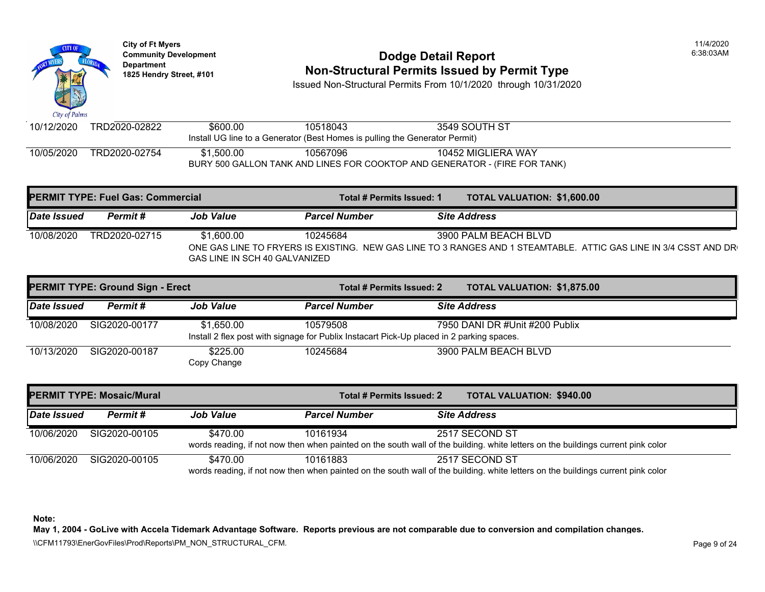

# **Community Developm[ent](https://1,600.00) <b>Dodge Detail Report 1825 Non-Structural Permits Issued by Permit Type**

Issued Non-Structural Permits From 10/1/2020 through 10/31/2020

| 10/12/2020 | TRD2020-02822 | \$600.00   | 10518043                                                                    | 3549 SOUTH ST                                                              |
|------------|---------------|------------|-----------------------------------------------------------------------------|----------------------------------------------------------------------------|
|            |               |            |                                                                             |                                                                            |
|            |               |            | Install UG line to a Generator (Best Homes is pulling the Generator Permit) |                                                                            |
| 10/05/2020 | TRD2020-02754 | \$1.500.00 | 10567096                                                                    | 10452 MIGLIERA WAY                                                         |
|            |               |            |                                                                             | BURY 500 GALLON TANK AND LINES FOR COOKTOP AND GENERATOR - (FIRE FOR TANK) |

| <b>PERMIT TYPE: Fuel Gas: Commercial</b> |               |                                             | Total # Permits Issued: 1 | <b>TOTAL VALUATION: \$1,600.0</b>                                                                         |
|------------------------------------------|---------------|---------------------------------------------|---------------------------|-----------------------------------------------------------------------------------------------------------|
| Date Issued                              | Permit #      | <b>Job Value</b>                            | <b>Parcel Number</b>      | <b>Site Address</b>                                                                                       |
| 10/08/2020                               | TRD2020-02715 | \$1,600.00<br>GAS LINE IN SCH 40 GALVANIZED | 10245684                  | 3900 PALM BEACH BLVD<br>ONE GAS LINE TO FRYERS IS EXISTING. NEW GAS LINE TO 3 RANGES AND 1 STEAMTABLE. AT |

|                    | PERMIT TYPE: Ground Sign - Erect |                         | Total # Permits Issued: 2                                                                             | <b>TOTAL VALUATION: \$1,875.0</b> |
|--------------------|----------------------------------|-------------------------|-------------------------------------------------------------------------------------------------------|-----------------------------------|
| <b>Date Issued</b> | Permit #                         | <b>Job Value</b>        | <b>Parcel Number</b>                                                                                  | <b>Site Address</b>               |
| 10/08/2020         | SIG2020-00177                    | \$1.650.00              | 10579508<br>Install 2 flex post with signage for Publix Instacart Pick-Up placed in 2 parking spaces. | 7950 DANI DR #Unit #200 Publix    |
| 10/13/2020         | SIG2020-00187                    | \$225.00<br>Copy Change | 10245684                                                                                              | 3900 PALM BEACH BLVD              |

| <b>PERMIT TYPE: Mosaic/Mural</b> |               |                  |                                                                                                                          | Total # Permits Issued: 2 |                     | <b>TOTAL VALUATION: \$940.00</b> |
|----------------------------------|---------------|------------------|--------------------------------------------------------------------------------------------------------------------------|---------------------------|---------------------|----------------------------------|
| <b>Date Issued</b>               | Permit #      | <b>Job Value</b> | <b>Parcel Number</b>                                                                                                     |                           | <b>Site Address</b> |                                  |
| 10/06/2020                       | SIG2020-00105 | \$470.00         | 10161934<br>words reading, if not now then when painted on the south wall of the building. white letters on the building |                           | 2517 SECOND ST      |                                  |
| 10/06/2020                       | SIG2020-00105 | \$470.00         | 10161883<br>words reading, if not now then when painted on the south wall of the building, white letters on the building |                           | 2517 SECOND ST      |                                  |

**Note:**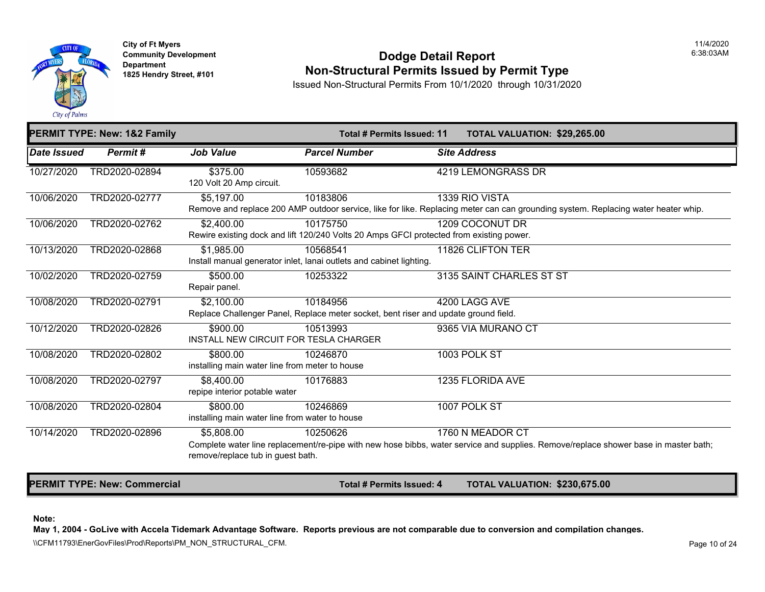

**City of Ft Myers** 11/4/2020

#### **Community Development Community Development 6:38:03**<br>Departm[ent](https://2,400.00) **Community Development Department Department Department Community Department 1825 Hendry Street, #1[01](https://1,985.00) Non-Structural Permits Issued by Permit Type**

Issued Non-Structural Permits From 10/1/2020 through 10/31/2020

|             | <b>PERMIT TYPE: New: 1&amp;2 Family</b> |                                                            | Total # Permits Issued: 11                                                                                        | <b>TOTAL VALUATION: \$29,265</b> |
|-------------|-----------------------------------------|------------------------------------------------------------|-------------------------------------------------------------------------------------------------------------------|----------------------------------|
| Date Issued | Permit#                                 | <b>Job Value</b>                                           | <b>Parcel Number</b>                                                                                              | <b>Site Address</b>              |
| 10/27/2020  | TRD2020-02894                           | \$375.00<br>120 Volt 20 Amp circuit.                       | 10593682                                                                                                          | 4219 LEMONGRASS DR               |
| 10/06/2020  | TRD2020-02777                           | \$5,197.00                                                 | 10183806<br>Remove and replace 200 AMP outdoor service, like for like. Replacing meter can can grounding system.  | 1339 RIO VISTA                   |
| 10/06/2020  | TRD2020-02762                           | \$2,400.00                                                 | 10175750<br>Rewire existing dock and lift 120/240 Volts 20 Amps GFCI protected from existing power.               | 1209 COCONUT DR                  |
| 10/13/2020  | TRD2020-02868                           | \$1,985.00                                                 | 10568541<br>Install manual generator inlet, lanai outlets and cabinet lighting.                                   | 11826 CLIFTON TER                |
| 10/02/2020  | TRD2020-02759                           | \$500.00<br>Repair panel.                                  | 10253322                                                                                                          | 3135 SAINT CHARLES ST ST         |
| 10/08/2020  | TRD2020-02791                           | \$2,100.00                                                 | 10184956<br>Replace Challenger Panel, Replace meter socket, bent riser and update ground field.                   | 4200 LAGG AVE                    |
| 10/12/2020  | TRD2020-02826                           | \$900.00<br>INSTALL NEW CIRCUIT FOR TESLA CHARGER          | 10513993                                                                                                          | 9365 VIA MURANO CT               |
| 10/08/2020  | TRD2020-02802                           | \$800.00<br>installing main water line from meter to house | 10246870                                                                                                          | 1003 POLK ST                     |
| 10/08/2020  | TRD2020-02797                           | \$8,400.00<br>repipe interior potable water                | 10176883                                                                                                          | 1235 FLORIDA AVE                 |
| 10/08/2020  | TRD2020-02804                           | \$800.00<br>installing main water line from water to house | 10246869                                                                                                          | 1007 POLK ST                     |
| 10/14/2020  | TRD2020-02896                           | \$5,808.00<br>remove/replace tub in guest bath.            | 10250626<br>Complete water line replacement/re-pipe with new hose bibbs, water service and supplies. Remove/repla | 1760 N MEADOR CT                 |

**PERMIT TYPE: New: Commercial Total # Permits Issued: 4 TOTAL VALUATION: \$230,67** 

#### **Note:**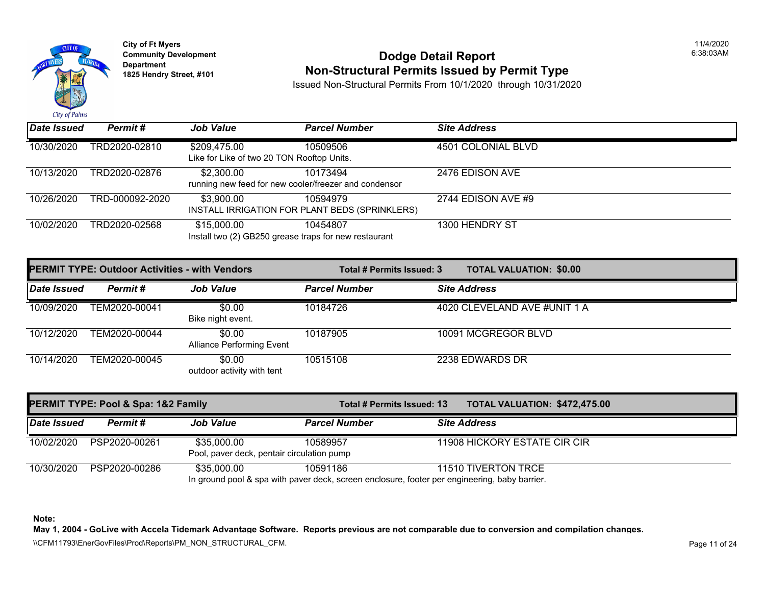

**City of Ft Myers** 11/4/2020

#### **Community Development** 6:38:03AM **Dodge Detail Report Department 1825 Hendry Street, #101 Non-Structural Permits Issued by Permit Type**

Issued Non-Structural Permits From 10/1/2020 through 10/31/2020

| Date Issued | Permit#         | <b>Job Value</b>                                                     | <b>Parcel Number</b>                                       | <b>Site Address</b> |
|-------------|-----------------|----------------------------------------------------------------------|------------------------------------------------------------|---------------------|
| 10/30/2020  | TRD2020-02810   | \$209,475.00<br>Like for Like of two 20 TON Rooftop Units.           | 10509506                                                   | 4501 COLONIAL BLVD  |
| 10/13/2020  | TRD2020-02876   | \$2,300.00<br>running new feed for new cooler/freezer and condensor  | 10173494                                                   | 2476 EDISON AVE     |
| 10/26/2020  | TRD-000092-2020 | \$3,900.00                                                           | 10594979<br>INSTALL IRRIGATION FOR PLANT BEDS (SPRINKLERS) | 2744 EDISON AVE #9  |
| 10/02/2020  | TRD2020-02568   | \$15,000.00<br>Install two (2) GB250 grease traps for new restaurant | 10454807                                                   | 1300 HENDRY ST      |

| <b>PERMIT TYPE: Outdoor Activities - with Vendors</b> |               | Total # Permits Issued: 3                  | <b>TOTAL VALUATION: \$0.00</b> |                              |
|-------------------------------------------------------|---------------|--------------------------------------------|--------------------------------|------------------------------|
| <b>Date Issued</b>                                    | Permit#       | <b>Job Value</b>                           | <b>Parcel Number</b>           | <b>Site Address</b>          |
| 10/09/2020                                            | TEM2020-00041 | \$0.00<br>Bike night event.                | 10184726                       | 4020 CLEVELAND AVE #UNIT 1 A |
| 10/12/2020                                            | TEM2020-00044 | \$0.00<br><b>Alliance Performing Event</b> | 10187905                       | 10091 MCGREGOR BLVD          |
| 10/14/2020                                            | TEM2020-00045 | \$0.00<br>outdoor activity with tent       | 10515108                       | 2238 EDWARDS DR              |

| <b>PERMIT TYPE: Pool &amp; Spa: 1&amp;2 Family</b> |               |                                                           | Total # Permits Issued: 13                                                                                | <b>TOTAL VALUATION: \$472,475.00</b> |
|----------------------------------------------------|---------------|-----------------------------------------------------------|-----------------------------------------------------------------------------------------------------------|--------------------------------------|
| Date Issued                                        | Permit #      | <b>Job Value</b>                                          | <b>Parcel Number</b>                                                                                      | <b>Site Address</b>                  |
| 10/02/2020                                         | PSP2020-00261 | \$35,000.00<br>Pool, paver deck, pentair circulation pump | 10589957                                                                                                  | 11908 HICKORY ESTATE CIR CIR         |
| 10/30/2020                                         | PSP2020-00286 | \$35,000.00                                               | 10591186<br>In ground pool & spa with paver deck, screen enclosure, footer per engineering, baby barrier. | 11510 TIVERTON TRCE                  |

**Note:** 

**May 1, 2004 - GoLive with Accela Tidemark Advantage Software. Reports previous are not comparable due to conversion and compilation changes.** 

\\CFM11793\EnerGovFiles\Prod\Reports\PM\_NON\_STRUCTURAL\_CFM.<br>Rage 11 of 24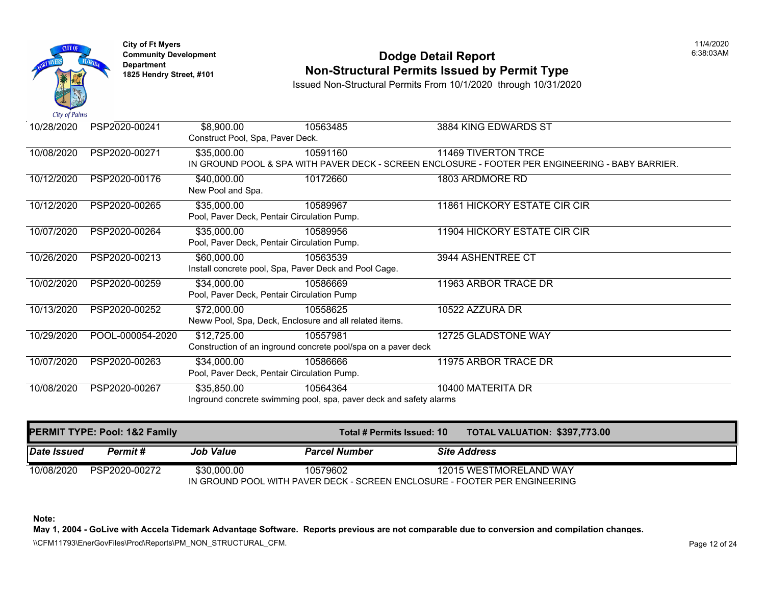

# **Community Development Community Development** Dodge Detail Report **1825 Non-Structural Permits Issued by Permit Type**

Issued Non-Structural Permits From 10/1/2020 through 10/31/2020

| 10/28/2020 | PSP2020-00241    | \$8,900.00                                                         | 10563485                                                      | 3884 KING EDWARDS ST                                                           |  |  |
|------------|------------------|--------------------------------------------------------------------|---------------------------------------------------------------|--------------------------------------------------------------------------------|--|--|
|            |                  | Construct Pool, Spa, Paver Deck.                                   |                                                               |                                                                                |  |  |
| 10/08/2020 | PSP2020-00271    | \$35,000.00                                                        | 10591160                                                      | 11469 TIVERTON TRCE                                                            |  |  |
|            |                  |                                                                    |                                                               | IN GROUND POOL & SPA WITH PAVER DECK - SCREEN ENCLOSURE - FOOTER PER ENGINEERI |  |  |
| 10/12/2020 | PSP2020-00176    | \$40,000.00                                                        | 10172660                                                      | 1803 ARDMORE RD                                                                |  |  |
|            |                  | New Pool and Spa.                                                  |                                                               |                                                                                |  |  |
| 10/12/2020 | PSP2020-00265    | \$35,000.00                                                        | 10589967                                                      | 11861 HICKORY ESTATE CIR CIR                                                   |  |  |
|            |                  |                                                                    | Pool, Paver Deck, Pentair Circulation Pump.                   |                                                                                |  |  |
| 10/07/2020 | PSP2020-00264    | \$35,000.00                                                        | 10589956                                                      | 11904 HICKORY ESTATE CIR CIR                                                   |  |  |
|            |                  |                                                                    | Pool, Paver Deck, Pentair Circulation Pump.                   |                                                                                |  |  |
| 10/26/2020 | PSP2020-00213    | \$60,000.00                                                        | 10563539                                                      | 3944 ASHENTREE CT                                                              |  |  |
|            |                  |                                                                    | Install concrete pool, Spa, Paver Deck and Pool Cage.         |                                                                                |  |  |
| 10/02/2020 | PSP2020-00259    | \$34,000.00                                                        | 10586669                                                      | 11963 ARBOR TRACE DR                                                           |  |  |
|            |                  |                                                                    | Pool, Paver Deck, Pentair Circulation Pump                    |                                                                                |  |  |
| 10/13/2020 | PSP2020-00252    | \$72,000.00                                                        | 10558625                                                      | 10522 AZZURA DR                                                                |  |  |
|            |                  |                                                                    | Neww Pool, Spa, Deck, Enclosure and all related items.        |                                                                                |  |  |
| 10/29/2020 | POOL-000054-2020 | \$12,725.00                                                        | 10557981                                                      | 12725 GLADSTONE WAY                                                            |  |  |
|            |                  |                                                                    | Construction of an inground concrete pool/spa on a paver deck |                                                                                |  |  |
| 10/07/2020 | PSP2020-00263    | \$34,000.00                                                        | 10586666                                                      | 11975 ARBOR TRACE DR                                                           |  |  |
|            |                  |                                                                    | Pool, Paver Deck, Pentair Circulation Pump.                   |                                                                                |  |  |
| 10/08/2020 | PSP2020-00267    | \$35,850.00                                                        | 10564364                                                      | 10400 MATERITA DR                                                              |  |  |
|            |                  | Inground concrete swimming pool, spa, paver deck and safety alarms |                                                               |                                                                                |  |  |

| PERMIT TYPE: Pool: 1&2 Family  |                  | Total # Permits Issued: 10                                                             |                     | <b>TOTAL VALUATION: \$397,77</b> |
|--------------------------------|------------------|----------------------------------------------------------------------------------------|---------------------|----------------------------------|
| <b>Date Issued</b><br>Permit # | <b>Job Value</b> | <b>Parcel Number</b>                                                                   | <b>Site Address</b> |                                  |
| 10/08/2020<br>PSP2020-00272    | \$30,000.00      | 10579602<br>IN GROUND POOL WITH PAVER DECK - SCREEN ENCLOSURE - FOOTER PER ENGINEERING |                     | 12015 WESTMORELAND WAY           |

**Note:**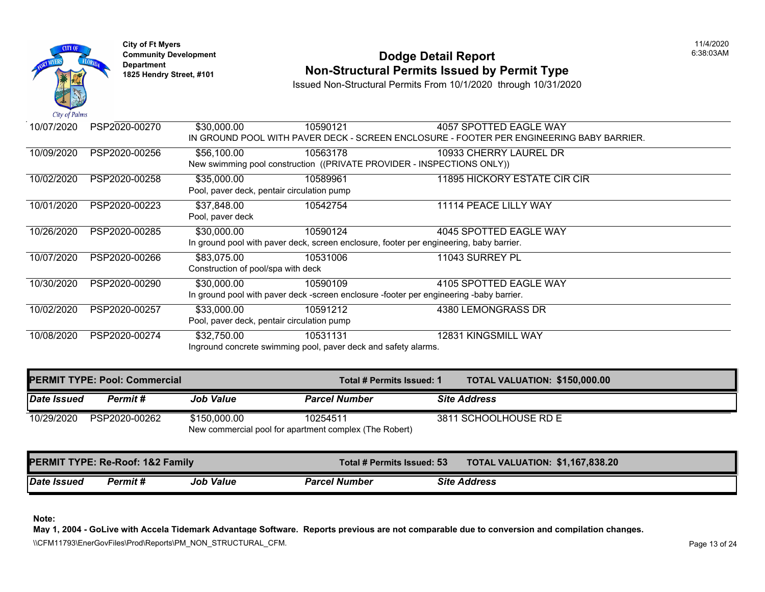

# **Community Development Community Development** Dodge Detail Report **1825 Non-Structural Permits Issued by Permit Type**

Issued Non-Structural Permits From 10/1/2020 through 10/31/2020

| $\mathcal{L}u \mathcal{L}v$ is a set of $\mathcal{L}u$ |               |                                    |                                                                        |                                                                                         |
|--------------------------------------------------------|---------------|------------------------------------|------------------------------------------------------------------------|-----------------------------------------------------------------------------------------|
| 10/07/2020                                             | PSP2020-00270 | \$30,000.00                        | 10590121                                                               | 4057 SPOTTED EAGLE WAY                                                                  |
|                                                        |               |                                    |                                                                        | IN GROUND POOL WITH PAVER DECK - SCREEN ENCLOSURE - FOOTER PER ENGINEERING BA           |
| 10/09/2020                                             | PSP2020-00256 | \$56,100.00                        | 10563178                                                               | 10933 CHERRY LAUREL DR                                                                  |
|                                                        |               |                                    | New swimming pool construction ((PRIVATE PROVIDER - INSPECTIONS ONLY)) |                                                                                         |
| 10/02/2020                                             | PSP2020-00258 | \$35,000.00                        | 10589961                                                               | 11895 HICKORY ESTATE CIR CIR                                                            |
|                                                        |               |                                    | Pool, paver deck, pentair circulation pump                             |                                                                                         |
| 10/01/2020                                             | PSP2020-00223 | \$37,848.00                        | 10542754                                                               | 11114 PEACE LILLY WAY                                                                   |
|                                                        |               | Pool, paver deck                   |                                                                        |                                                                                         |
| 10/26/2020                                             | PSP2020-00285 | \$30,000.00                        | 10590124                                                               | 4045 SPOTTED EAGLE WAY                                                                  |
|                                                        |               |                                    |                                                                        | In ground pool with paver deck, screen enclosure, footer per engineering, baby barrier. |
| 10/07/2020                                             | PSP2020-00266 | \$83,075.00                        | 10531006                                                               | 11043 SURREY PL                                                                         |
|                                                        |               | Construction of pool/spa with deck |                                                                        |                                                                                         |
| 10/30/2020                                             | PSP2020-00290 | \$30,000.00                        | 10590109                                                               | 4105 SPOTTED EAGLE WAY                                                                  |
|                                                        |               |                                    |                                                                        | In ground pool with paver deck -screen enclosure -footer per engineering -baby barrier. |
| 10/02/2020                                             | PSP2020-00257 | \$33,000.00                        | 10591212                                                               | 4380 LEMONGRASS DR                                                                      |
|                                                        |               |                                    | Pool, paver deck, pentair circulation pump                             |                                                                                         |
| 10/08/2020                                             | PSP2020-00274 | \$32,750.00                        | 10531131                                                               | 12831 KINGSMILL WAY                                                                     |
|                                                        |               |                                    | Inground concrete swimming pool, paver deck and safety alarms.         |                                                                                         |

|             | <b>PERMIT TYPE: Pool: Commercial</b> |                  | Total # Permits Issued: 1                              | <b>TOTAL VALUATION: \$150,00</b> |
|-------------|--------------------------------------|------------------|--------------------------------------------------------|----------------------------------|
| Date Issued | Permit #                             | <b>Job Value</b> | <b>Parcel Number</b>                                   | <b>Site Address</b>              |
| 10/29/2020  | PSP2020-00262                        | \$150,000,00     | 10254511                                               | 3811 SCHOOLHOUSE RD E            |
|             |                                      |                  | New commercial pool for apartment complex (The Robert) |                                  |

|             | PERMIT TYPE: Re-Roof: 1&2 Family |           | Total # Permits Issued: 53 | <b>TOTAL VALUATION: \$1,167,8</b> |
|-------------|----------------------------------|-----------|----------------------------|-----------------------------------|
| Date Issued | Permit #                         | Job Value | <b>Parcel Number</b>       | <b>Site Address</b>               |

**Note:**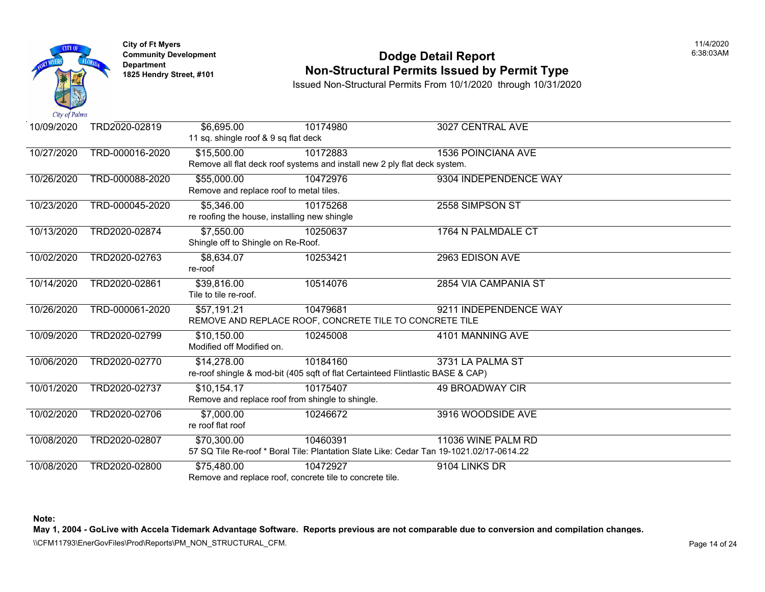

# **Community Developm[ent](https://7,550.00) <b>Dodge Detail Report Non-Structural Permits Issued by Permit Type**

Issued Non-Structural Permits From 10/1/2020 through 10/31/2020

| 10/09/2020 | TRD2020-02819   | \$6,695.00                                       | 10174980                                                                                | 3027 CENTRAL AVE          |
|------------|-----------------|--------------------------------------------------|-----------------------------------------------------------------------------------------|---------------------------|
|            |                 | 11 sq. shingle roof & 9 sq flat deck             |                                                                                         |                           |
| 10/27/2020 | TRD-000016-2020 | \$15,500.00                                      | 10172883                                                                                | <b>1536 POINCIANA AVE</b> |
|            |                 |                                                  | Remove all flat deck roof systems and install new 2 ply flat deck system.               |                           |
| 10/26/2020 | TRD-000088-2020 | \$55,000.00                                      | 10472976                                                                                | 9304 INDEPENDENCE WAY     |
|            |                 | Remove and replace roof to metal tiles.          |                                                                                         |                           |
| 10/23/2020 | TRD-000045-2020 | $\overline{$5,346.00}$                           | 10175268                                                                                | 2558 SIMPSON ST           |
|            |                 | re roofing the house, installing new shingle     |                                                                                         |                           |
| 10/13/2020 | TRD2020-02874   | \$7,550.00                                       | 10250637                                                                                | 1764 N PALMDALE CT        |
|            |                 | Shingle off to Shingle on Re-Roof.               |                                                                                         |                           |
| 10/02/2020 | TRD2020-02763   | \$8,634.07                                       | 10253421                                                                                | 2963 EDISON AVE           |
|            |                 | re-roof                                          |                                                                                         |                           |
| 10/14/2020 | TRD2020-02861   | \$39,816.00                                      | 10514076                                                                                | 2854 VIA CAMPANIA ST      |
|            |                 | Tile to tile re-roof.                            |                                                                                         |                           |
| 10/26/2020 | TRD-000061-2020 | \$57,191.21                                      | 10479681                                                                                | 9211 INDEPENDENCE WAY     |
|            |                 |                                                  | REMOVE AND REPLACE ROOF, CONCRETE TILE TO CONCRETE TILE                                 |                           |
| 10/09/2020 | TRD2020-02799   | \$10,150.00                                      | 10245008                                                                                | 4101 MANNING AVE          |
|            |                 | Modified off Modified on.                        |                                                                                         |                           |
| 10/06/2020 | TRD2020-02770   | \$14,278.00                                      | 10184160                                                                                | 3731 LA PALMA ST          |
|            |                 |                                                  | re-roof shingle & mod-bit (405 sqft of flat Certainteed Flintlastic BASE & CAP)         |                           |
| 10/01/2020 | TRD2020-02737   | \$10,154.17                                      | 10175407                                                                                | <b>49 BROADWAY CIR</b>    |
|            |                 | Remove and replace roof from shingle to shingle. |                                                                                         |                           |
| 10/02/2020 | TRD2020-02706   | \$7,000.00                                       | 10246672                                                                                | 3916 WOODSIDE AVE         |
|            |                 | re roof flat roof                                |                                                                                         |                           |
| 10/08/2020 | TRD2020-02807   | \$70,300.00                                      | 10460391                                                                                | 11036 WINE PALM RD        |
|            |                 |                                                  | 57 SQ Tile Re-roof * Boral Tile: Plantation Slate Like: Cedar Tan 19-1021.02/17-0614.22 |                           |
| 10/08/2020 | TRD2020-02800   | \$75,480.00                                      | 10472927                                                                                | 9104 LINKS DR             |
|            |                 |                                                  | Remove and replace roof, concrete tile to concrete tile.                                |                           |

#### **Note:**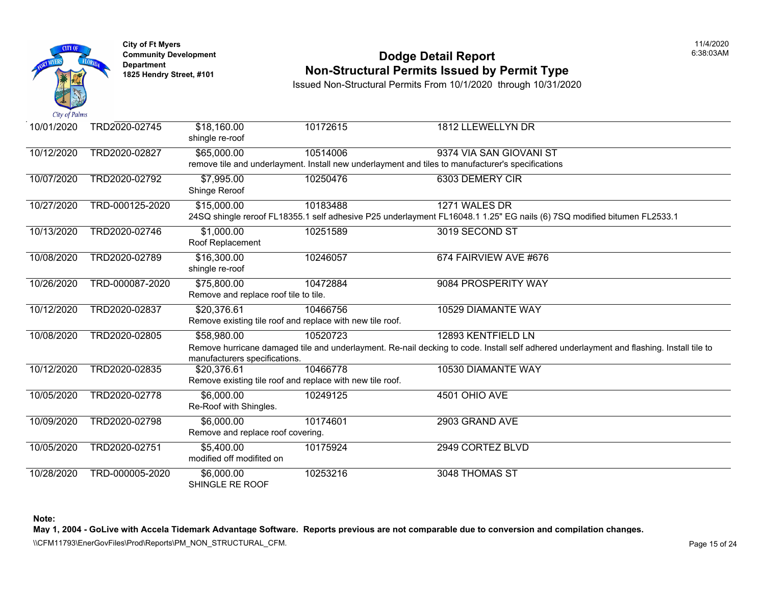

# **Community Developm[ent](https://1,000.00) <b>Dodge Detail Report Non-Structural Permits Issued by Permit Type**

Issued Non-Structural Permits From 10/1/2020 through 10/31/2020

| 10/01/2020 | TRD2020-02745   | \$18,160.00<br>shingle re-roof                                           | 10172615 | <b>1812 LLEWELLYN DR</b>                                                                                                     |
|------------|-----------------|--------------------------------------------------------------------------|----------|------------------------------------------------------------------------------------------------------------------------------|
| 10/12/2020 | TRD2020-02827   | \$65,000.00                                                              | 10514006 | 9374 VIA SAN GIOVANI ST<br>remove tile and underlayment. Install new underlayment and tiles to manufacturer's specifications |
| 10/07/2020 | TRD2020-02792   | \$7,995.00<br>Shinge Reroof                                              | 10250476 | 6303 DEMERY CIR                                                                                                              |
| 10/27/2020 | TRD-000125-2020 | \$15,000.00                                                              | 10183488 | 1271 WALES DR<br>24SQ shingle reroof FL18355.1 self adhesive P25 underlayment FL16048.1 1.25" EG nails (6) 7SQ mod           |
| 10/13/2020 | TRD2020-02746   | \$1,000.00<br>Roof Replacement                                           | 10251589 | 3019 SECOND ST                                                                                                               |
| 10/08/2020 | TRD2020-02789   | \$16,300.00<br>shingle re-roof                                           | 10246057 | 674 FAIRVIEW AVE #676                                                                                                        |
| 10/26/2020 | TRD-000087-2020 | \$75,800.00<br>Remove and replace roof tile to tile.                     | 10472884 | 9084 PROSPERITY WAY                                                                                                          |
| 10/12/2020 | TRD2020-02837   | \$20,376.61<br>Remove existing tile roof and replace with new tile roof. | 10466756 | 10529 DIAMANTE WAY                                                                                                           |
| 10/08/2020 | TRD2020-02805   | \$58,980.00<br>manufacturers specifications.                             | 10520723 | 12893 KENTFIELD LN<br>Remove hurricane damaged tile and underlayment. Re-nail decking to code. Install self adhered underlay |
| 10/12/2020 | TRD2020-02835   | \$20,376.61<br>Remove existing tile roof and replace with new tile roof. | 10466778 | 10530 DIAMANTE WAY                                                                                                           |
| 10/05/2020 | TRD2020-02778   | \$6,000.00<br>Re-Roof with Shingles.                                     | 10249125 | 4501 OHIO AVE                                                                                                                |
| 10/09/2020 | TRD2020-02798   | \$6,000.00<br>Remove and replace roof covering.                          | 10174601 | 2903 GRAND AVE                                                                                                               |
| 10/05/2020 | TRD2020-02751   | \$5,400.00<br>modified off modifited on                                  | 10175924 | 2949 CORTEZ BLVD                                                                                                             |
| 10/28/2020 | TRD-000005-2020 | \$6,000.00<br>SHINGLE RE ROOF                                            | 10253216 | 3048 THOMAS ST                                                                                                               |

**Note:**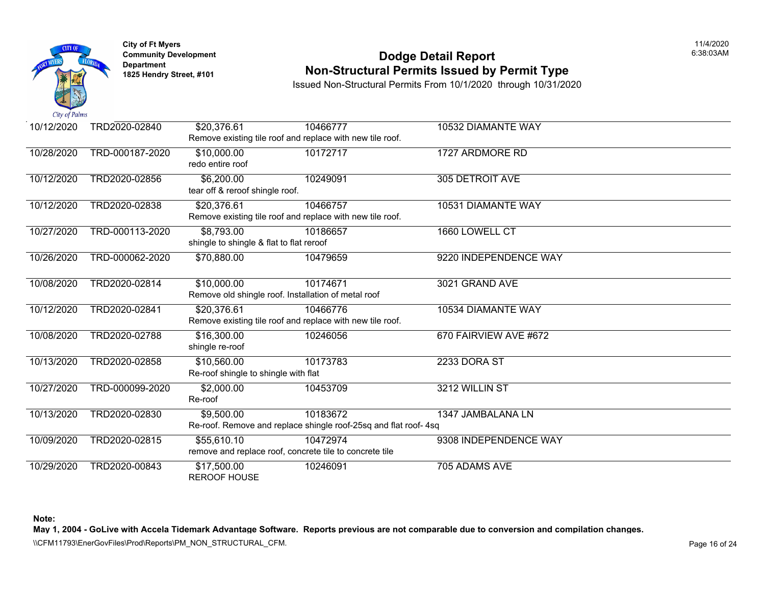

### **Community Development Community Development** Dodge Detail Report **Non-Structural Permits Issued by Permit Type**

Issued Non-Structural Permits From 10/1/2020 through 10/31/2020

| 10/12/2020 | TRD2020-02840   | \$20,376.61                              | 10466777                                                        | 10532 DIAMANTE WAY     |
|------------|-----------------|------------------------------------------|-----------------------------------------------------------------|------------------------|
|            |                 |                                          | Remove existing tile roof and replace with new tile roof.       |                        |
| 10/28/2020 | TRD-000187-2020 | \$10,000.00                              | 10172717                                                        | 1727 ARDMORE RD        |
|            |                 | redo entire roof                         |                                                                 |                        |
| 10/12/2020 | TRD2020-02856   | \$6,200.00                               | 10249091                                                        | <b>305 DETROIT AVE</b> |
|            |                 | tear off & reroof shingle roof.          |                                                                 |                        |
| 10/12/2020 | TRD2020-02838   | \$20,376.61                              | 10466757                                                        | 10531 DIAMANTE WAY     |
|            |                 |                                          | Remove existing tile roof and replace with new tile roof.       |                        |
| 10/27/2020 | TRD-000113-2020 | \$8,793.00                               | 10186657                                                        | 1660 LOWELL CT         |
|            |                 | shingle to shingle & flat to flat reroof |                                                                 |                        |
| 10/26/2020 | TRD-000062-2020 | \$70,880.00                              | 10479659                                                        | 9220 INDEPENDENCE WAY  |
|            |                 |                                          |                                                                 |                        |
| 10/08/2020 | TRD2020-02814   | \$10,000.00                              | 10174671                                                        | 3021 GRAND AVE         |
|            |                 |                                          | Remove old shingle roof. Installation of metal roof             |                        |
| 10/12/2020 | TRD2020-02841   | \$20,376.61                              | 10466776                                                        | 10534 DIAMANTE WAY     |
|            |                 |                                          | Remove existing tile roof and replace with new tile roof.       |                        |
| 10/08/2020 | TRD2020-02788   | \$16,300.00                              | 10246056                                                        | 670 FAIRVIEW AVE #672  |
|            |                 | shingle re-roof                          |                                                                 |                        |
| 10/13/2020 | TRD2020-02858   | \$10,560.00                              | 10173783                                                        | 2233 DORA ST           |
|            |                 | Re-roof shingle to shingle with flat     |                                                                 |                        |
| 10/27/2020 | TRD-000099-2020 | \$2,000.00                               | 10453709                                                        | 3212 WILLIN ST         |
|            |                 | Re-roof                                  |                                                                 |                        |
| 10/13/2020 | TRD2020-02830   | \$9,500.00                               | 10183672                                                        | 1347 JAMBALANA LN      |
|            |                 |                                          | Re-roof. Remove and replace shingle roof-25sq and flat roof-4sq |                        |
| 10/09/2020 | TRD2020-02815   | \$55,610.10                              | 10472974                                                        | 9308 INDEPENDENCE WAY  |
|            |                 |                                          | remove and replace roof, concrete tile to concrete tile         |                        |
| 10/29/2020 | TRD2020-00843   | \$17,500.00                              | 10246091                                                        | 705 ADAMS AVE          |
|            |                 | <b>REROOF HOUSE</b>                      |                                                                 |                        |

**Note:**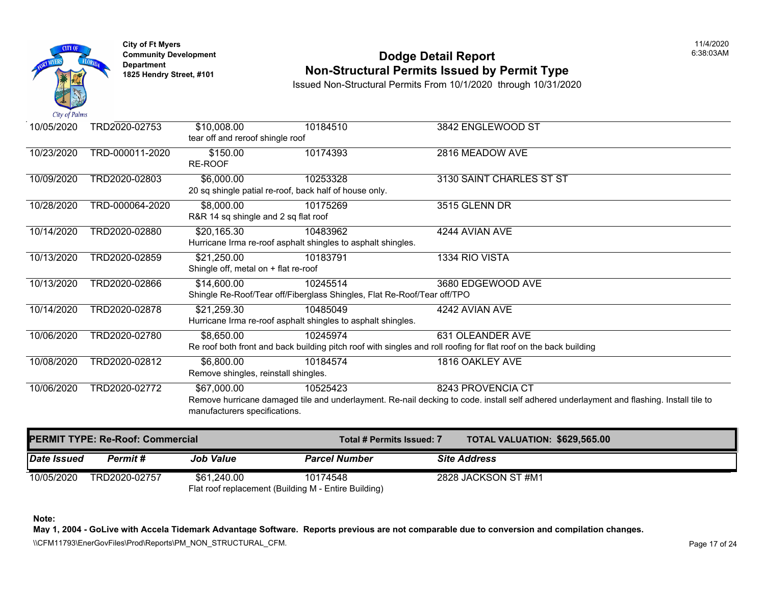

# **Community Development Community Development** Dodge Detail Report **Non-Structural Permits Issued by Permit Type**

Issued Non-Structural Permits From 10/1/2020 through 10/31/2020

| 10/05/2020 | TRD2020-02753   | \$10,008.00                                            | 10184510                                                                | 3842 ENGLEWOOD ST                                                                                               |
|------------|-----------------|--------------------------------------------------------|-------------------------------------------------------------------------|-----------------------------------------------------------------------------------------------------------------|
|            |                 | tear off and reroof shingle roof                       |                                                                         |                                                                                                                 |
| 10/23/2020 | TRD-000011-2020 | \$150.00                                               | 10174393                                                                | 2816 MEADOW AVE                                                                                                 |
|            |                 | <b>RE-ROOF</b>                                         |                                                                         |                                                                                                                 |
| 10/09/2020 | TRD2020-02803   | \$6,000.00                                             | 10253328                                                                | 3130 SAINT CHARLES ST ST                                                                                        |
|            |                 | 20 sq shingle patial re-roof, back half of house only. |                                                                         |                                                                                                                 |
|            |                 |                                                        |                                                                         |                                                                                                                 |
| 10/28/2020 | TRD-000064-2020 | \$8,000.00                                             | 10175269                                                                | 3515 GLENN DR                                                                                                   |
|            |                 | R&R 14 sq shingle and 2 sq flat roof                   |                                                                         |                                                                                                                 |
| 10/14/2020 | TRD2020-02880   | \$20,165.30                                            | 10483962                                                                | 4244 AVIAN AVE                                                                                                  |
|            |                 |                                                        | Hurricane Irma re-roof asphalt shingles to asphalt shingles.            |                                                                                                                 |
| 10/13/2020 | TRD2020-02859   | \$21,250.00                                            | 10183791                                                                | 1334 RIO VISTA                                                                                                  |
|            |                 | Shingle off, metal on + flat re-roof                   |                                                                         |                                                                                                                 |
| 10/13/2020 | TRD2020-02866   | \$14,600.00                                            | 10245514                                                                | 3680 EDGEWOOD AVE                                                                                               |
|            |                 |                                                        | Shingle Re-Roof/Tear off/Fiberglass Shingles, Flat Re-Roof/Tear off/TPO |                                                                                                                 |
| 10/14/2020 | TRD2020-02878   | \$21,259.30                                            | 10485049                                                                | 4242 AVIAN AVE                                                                                                  |
|            |                 |                                                        | Hurricane Irma re-roof asphalt shingles to asphalt shingles.            |                                                                                                                 |
| 10/06/2020 | TRD2020-02780   | \$8,650.00                                             | 10245974                                                                | 631 OLEANDER AVE                                                                                                |
|            |                 |                                                        |                                                                         | Re roof both front and back building pitch roof with singles and roll roofing for flat roof on the back buildin |
| 10/08/2020 | TRD2020-02812   | \$6,800.00                                             | 10184574                                                                | 1816 OAKLEY AVE                                                                                                 |
|            |                 | Remove shingles, reinstall shingles.                   |                                                                         |                                                                                                                 |
|            |                 |                                                        |                                                                         |                                                                                                                 |
| 10/06/2020 | TRD2020-02772   | \$67,000.00                                            | 10525423                                                                | 8243 PROVENCIA CT                                                                                               |
|            |                 | manufacturers specifications.                          |                                                                         | Remove hurricane damaged tile and underlayment. Re-nail decking to code. install self adhered underlay          |
|            |                 |                                                        |                                                                         |                                                                                                                 |

| <b>PERMIT TYPE: Re-Roof: Commercial</b> |               |             |                                                      | <b>TOTAL VALUATION: \$629,56</b><br>Total # Permits Issued: 7 |                     |  |
|-----------------------------------------|---------------|-------------|------------------------------------------------------|---------------------------------------------------------------|---------------------|--|
| <i><b>Date Issued</b></i>               | Permit #      | Job Value   | <b>Parcel Number</b>                                 |                                                               | <b>Site Address</b> |  |
| 10/05/2020                              | TRD2020-02757 | \$61,240.00 | 10174548                                             |                                                               | 2828 JACKSON ST #M1 |  |
|                                         |               |             | Flat roof replacement (Building M - Entire Building) |                                                               |                     |  |

**Note:**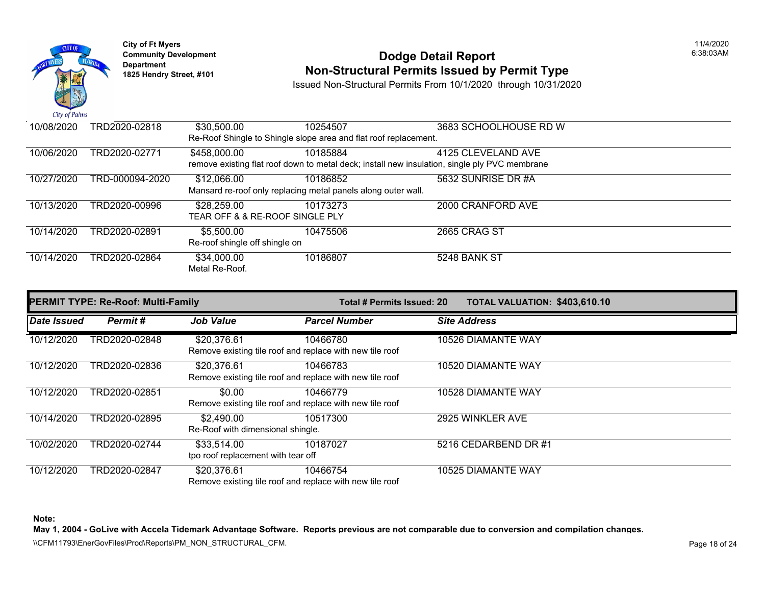

# **Community Development Community Development** Dodge Detail Report **1825 Non-Structural Permits Issued by Permit Type**

Issued Non-Structural Permits From 10/1/2020 through 10/31/2020

| 10/08/2020 | TRD2020-02818   | \$30,500.00                                    | 10254507                                                                                      | 3683 SCHOOLHOUSE RD W |
|------------|-----------------|------------------------------------------------|-----------------------------------------------------------------------------------------------|-----------------------|
|            |                 |                                                | Re-Roof Shingle to Shingle slope area and flat roof replacement.                              |                       |
| 10/06/2020 | TRD2020-02771   | \$458,000.00                                   | 10185884                                                                                      | 4125 CLEVELAND AVE    |
|            |                 |                                                | remove existing flat roof down to metal deck; install new insulation, single ply PVC membrane |                       |
| 10/27/2020 | TRD-000094-2020 | \$12,066.00                                    | 10186852                                                                                      | 5632 SUNRISE DR #A    |
|            |                 |                                                | Mansard re-roof only replacing metal panels along outer wall.                                 |                       |
| 10/13/2020 | TRD2020-00996   | \$28,259.00                                    | 10173273                                                                                      | 2000 CRANFORD AVE     |
|            |                 | <b>TEAR OFF &amp; &amp; RE-ROOF SINGLE PLY</b> |                                                                                               |                       |
| 10/14/2020 | TRD2020-02891   | \$5,500.00                                     | 10475506                                                                                      | <b>2665 CRAG ST</b>   |
|            |                 | Re-roof shingle off shingle on                 |                                                                                               |                       |
| 10/14/2020 | TRD2020-02864   | \$34,000.00                                    | 10186807                                                                                      | 5248 BANK ST          |
|            |                 | Metal Re-Roof.                                 |                                                                                               |                       |
|            |                 |                                                |                                                                                               |                       |

| <b>PERMIT TYPE: Re-Roof: Multi-Family</b> |               |                                                   |                                                                      | <b>TOTAL VALUATION: \$403,61</b><br>Total # Permits Issued: 20 |                      |  |
|-------------------------------------------|---------------|---------------------------------------------------|----------------------------------------------------------------------|----------------------------------------------------------------|----------------------|--|
| Date Issued                               | Permit#       | <b>Job Value</b>                                  | <b>Parcel Number</b>                                                 |                                                                | <b>Site Address</b>  |  |
| 10/12/2020                                | TRD2020-02848 | \$20,376.61                                       | 10466780<br>Remove existing tile roof and replace with new tile roof |                                                                | 10526 DIAMANTE WAY   |  |
| 10/12/2020                                | TRD2020-02836 | \$20,376.61                                       | 10466783<br>Remove existing tile roof and replace with new tile roof |                                                                | 10520 DIAMANTE WAY   |  |
| 10/12/2020                                | TRD2020-02851 | \$0.00                                            | 10466779<br>Remove existing tile roof and replace with new tile roof |                                                                | 10528 DIAMANTE WAY   |  |
| 10/14/2020                                | TRD2020-02895 | \$2,490.00<br>Re-Roof with dimensional shingle.   | 10517300                                                             |                                                                | 2925 WINKLER AVE     |  |
| 10/02/2020                                | TRD2020-02744 | \$33,514.00<br>tpo roof replacement with tear off | 10187027                                                             |                                                                | 5216 CEDARBEND DR #1 |  |
| 10/12/2020                                | TRD2020-02847 | \$20,376.61                                       | 10466754<br>Remove existing tile roof and replace with new tile roof |                                                                | 10525 DIAMANTE WAY   |  |

**Note:**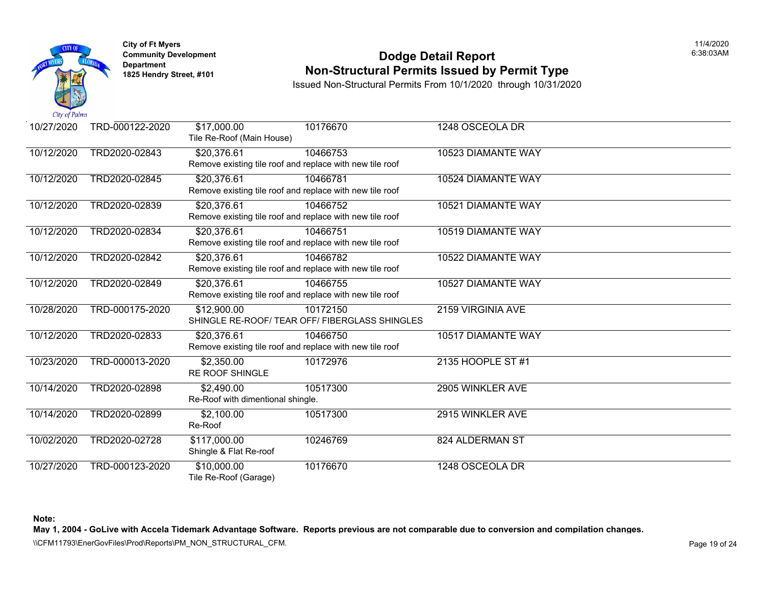

# **Community Develop[ment](https://20,376.61) 12.33 AM SERVICES 2006 2018 12.38:03 AM Dodge Detail Report Non-Structural Permits Issued by Permit Type**

Issued Non-Structural Permits From 10/1/2020 through 10/31/2020

| 10/27/2020 | TRD-000122-2020 | \$17,000.00<br>Tile Re-Roof (Main House) | 10176670                                                 | 1248 OSCEOLA DR    |
|------------|-----------------|------------------------------------------|----------------------------------------------------------|--------------------|
| 10/12/2020 | TRD2020-02843   | \$20,376.61                              | 10466753                                                 | 10523 DIAMANTE WAY |
|            |                 |                                          | Remove existing tile roof and replace with new tile roof |                    |
| 10/12/2020 | TRD2020-02845   | \$20,376.61                              | 10466781                                                 | 10524 DIAMANTE WAY |
|            |                 |                                          | Remove existing tile roof and replace with new tile roof |                    |
| 10/12/2020 | TRD2020-02839   | \$20,376.61                              | 10466752                                                 | 10521 DIAMANTE WAY |
|            |                 |                                          | Remove existing tile roof and replace with new tile roof |                    |
| 10/12/2020 | TRD2020-02834   | \$20,376.61                              | 10466751                                                 | 10519 DIAMANTE WAY |
|            |                 |                                          | Remove existing tile roof and replace with new tile roof |                    |
| 10/12/2020 | TRD2020-02842   | \$20,376.61                              | 10466782                                                 | 10522 DIAMANTE WAY |
|            |                 |                                          | Remove existing tile roof and replace with new tile roof |                    |
| 10/12/2020 | TRD2020-02849   | \$20,376.61                              | 10466755                                                 | 10527 DIAMANTE WAY |
|            |                 |                                          | Remove existing tile roof and replace with new tile roof |                    |
| 10/28/2020 | TRD-000175-2020 | \$12,900.00                              | 10172150                                                 | 2159 VIRGINIA AVE  |
|            |                 |                                          | SHINGLE RE-ROOF/ TEAR OFF/ FIBERGLASS SHINGLES           |                    |
| 10/12/2020 | TRD2020-02833   | \$20,376.61                              | 10466750                                                 | 10517 DIAMANTE WAY |
|            |                 |                                          | Remove existing tile roof and replace with new tile roof |                    |
| 10/23/2020 | TRD-000013-2020 | \$2,350.00                               | 10172976                                                 | 2135 HOOPLE ST #1  |
|            |                 | <b>RE ROOF SHINGLE</b>                   |                                                          |                    |
| 10/14/2020 | TRD2020-02898   | \$2,490.00                               | 10517300                                                 | 2905 WINKLER AVE   |
|            |                 | Re-Roof with dimentional shingle.        |                                                          |                    |
| 10/14/2020 | TRD2020-02899   | \$2,100.00                               | 10517300                                                 | 2915 WINKLER AVE   |
|            |                 | Re-Roof                                  |                                                          |                    |
| 10/02/2020 | TRD2020-02728   | \$117,000.00                             | 10246769                                                 | 824 ALDERMAN ST    |
|            |                 | Shingle & Flat Re-roof                   |                                                          |                    |
| 10/27/2020 | TRD-000123-2020 | \$10,000.00                              | 10176670                                                 | 1248 OSCEOLA DR    |
|            |                 | Tile Re-Roof (Garage)                    |                                                          |                    |

**Note:**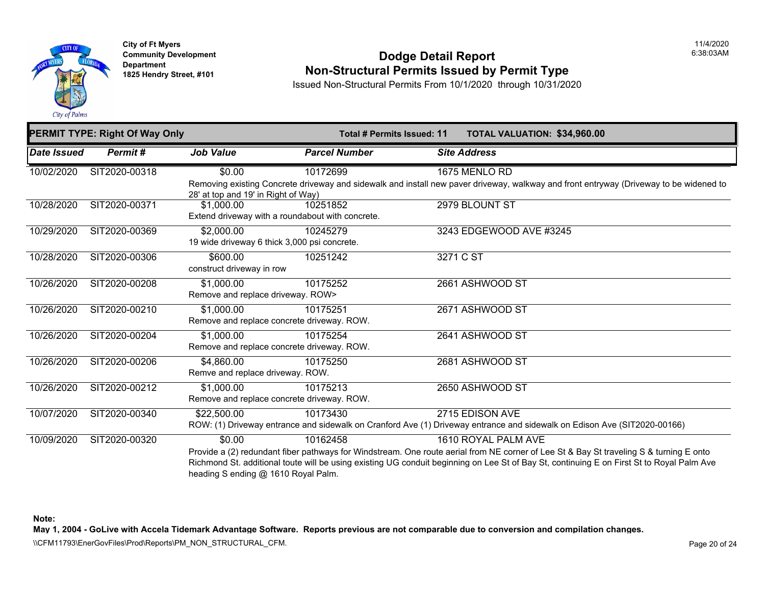

#### **Community Development Community Development** Dodge Detail Report **Non-Structural Permits Issued by Permit Type**

Issued Non-Structural Permits From 10/1/2020 through 10/31/2020

| <b>PERMIT TYPE: Right Of Way Only</b> |               |                                              | <b>Total # Permits Issued: 11</b>                |                     | <b>TOTAL VALUATION: \$34,960</b>                                                                          |
|---------------------------------------|---------------|----------------------------------------------|--------------------------------------------------|---------------------|-----------------------------------------------------------------------------------------------------------|
| Date Issued                           | Permit#       | <b>Job Value</b>                             | <b>Parcel Number</b>                             | <b>Site Address</b> |                                                                                                           |
| 10/02/2020                            | SIT2020-00318 | \$0.00                                       | 10172699                                         |                     | 1675 MENLO RD                                                                                             |
|                                       |               | 28' at top and 19' in Right of Way)          |                                                  |                     | Removing existing Concrete driveway and sidewalk and install new paver driveway, walkway and front er     |
| 10/28/2020                            | SIT2020-00371 | \$1,000.00                                   | 10251852                                         |                     | 2979 BLOUNT ST                                                                                            |
|                                       |               |                                              | Extend driveway with a roundabout with concrete. |                     |                                                                                                           |
| 10/29/2020                            | SIT2020-00369 | \$2,000.00                                   | 10245279                                         |                     | 3243 EDGEWOOD AVE #3245                                                                                   |
|                                       |               | 19 wide driveway 6 thick 3,000 psi concrete. |                                                  |                     |                                                                                                           |
| 10/28/2020                            | SIT2020-00306 | \$600.00                                     | 10251242                                         | 3271 C ST           |                                                                                                           |
|                                       |               | construct driveway in row                    |                                                  |                     |                                                                                                           |
| 10/26/2020                            | SIT2020-00208 | \$1,000.00                                   | 10175252                                         |                     | 2661 ASHWOOD ST                                                                                           |
|                                       |               | Remove and replace driveway. ROW>            |                                                  |                     |                                                                                                           |
| 10/26/2020                            | SIT2020-00210 | \$1,000.00                                   | 10175251                                         |                     | 2671 ASHWOOD ST                                                                                           |
|                                       |               | Remove and replace concrete driveway. ROW.   |                                                  |                     |                                                                                                           |
| 10/26/2020                            | SIT2020-00204 | \$1,000.00                                   | 10175254                                         |                     | 2641 ASHWOOD ST                                                                                           |
|                                       |               | Remove and replace concrete driveway. ROW.   |                                                  |                     |                                                                                                           |
| 10/26/2020                            | SIT2020-00206 | \$4,860.00                                   | 10175250                                         |                     | 2681 ASHWOOD ST                                                                                           |
|                                       |               | Remve and replace driveway. ROW.             |                                                  |                     |                                                                                                           |
| 10/26/2020                            | SIT2020-00212 | \$1,000.00                                   | 10175213                                         |                     | 2650 ASHWOOD ST                                                                                           |
|                                       |               | Remove and replace concrete driveway. ROW.   |                                                  |                     |                                                                                                           |
| 10/07/2020                            | SIT2020-00340 | \$22,500.00                                  | 10173430                                         |                     | 2715 EDISON AVE                                                                                           |
|                                       |               |                                              |                                                  |                     | ROW: (1) Driveway entrance and sidewalk on Cranford Ave (1) Driveway entrance and sidewalk on Ediso       |
| 10/09/2020                            | SIT2020-00320 | \$0.00                                       | 10162458                                         |                     | 1610 ROYAL PALM AVE                                                                                       |
|                                       |               |                                              |                                                  |                     | Provide a (2) redundant fiber pathways for Windstream. One route aerial from NE corner of Lee St & Bay    |
|                                       |               |                                              |                                                  |                     | Richmond St. additional toute will be using existing UG conduit beginning on Lee St of Bay St, continuing |
|                                       |               | heading S ending @ 1610 Royal Palm.          |                                                  |                     |                                                                                                           |

**Note:**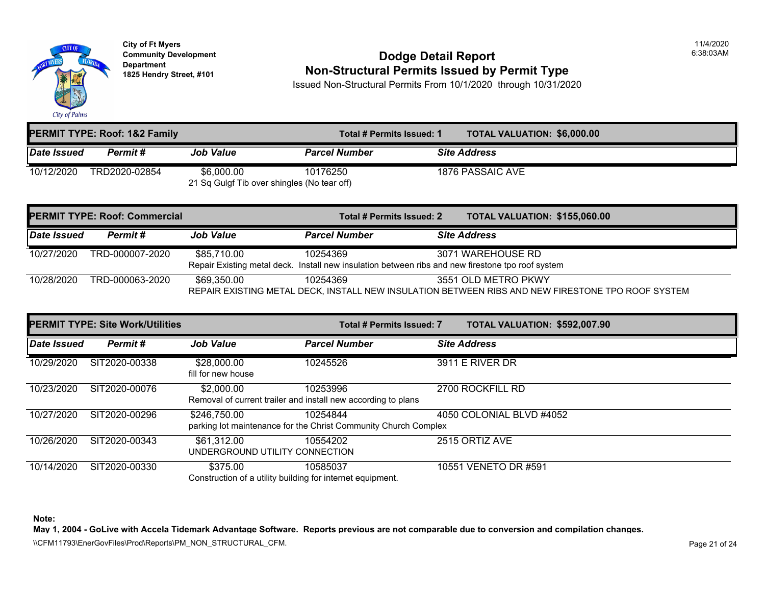

### **Community Development Community Development** Dodge Detail Report **1825 Hendry Street, [#101](https://85,710.00) Non-Structural Permits Issued by Permit Type**

Issued Non-Structural Permits From 10/1/2020 through 10/31/2020

| <b>PERMIT TYPE: Roof: 1&amp;2 Family</b> |               |                                             |                      | <b>TOTAL VALUATION: \$6,000.0</b><br>Total # Permits Issued: 1 |                     |
|------------------------------------------|---------------|---------------------------------------------|----------------------|----------------------------------------------------------------|---------------------|
| Date Issued                              | Permit#       | <b>Job Value</b>                            | <b>Parcel Number</b> |                                                                | <b>Site Address</b> |
| 10/12/2020                               | TRD2020-02854 | \$6,000.00                                  | 10176250             |                                                                | 1876 PASSAIC AVE    |
|                                          |               | 21 Sq Gulgf Tib over shingles (No tear off) |                      |                                                                |                     |

|             | <b>PERMIT TYPE: Roof: Commercial</b> |                  | Total # Permits Issued: 2                                                                                     | <b>TOTAL VALUATION: \$155,06</b> |
|-------------|--------------------------------------|------------------|---------------------------------------------------------------------------------------------------------------|----------------------------------|
| Date Issued | Permit#                              | <b>Job Value</b> | <b>Parcel Number</b>                                                                                          | <b>Site Address</b>              |
| 10/27/2020  | TRD-000007-2020                      | \$85,710.00      | 10254369<br>Repair Existing metal deck. Install new insulation between ribs and new firestone tpo roof system | 3071 WAREHOUSE RD                |
| 10/28/2020  | TRD-000063-2020                      | \$69.350.00      | 10254369<br>REPAIR EXISTING METAL DECK, INSTALL NEW INSULATION BETWEEN RIBS AND NEW FIRESTO                   | 3551 OLD METRO PKWY              |

|                    | <b>PERMIT TYPE: Site Work/Utilities</b> |                                                                        | Total # Permits Issued: 7                                                   |                     | <b>TOTAL VALUATION: \$592,00</b> |  |
|--------------------|-----------------------------------------|------------------------------------------------------------------------|-----------------------------------------------------------------------------|---------------------|----------------------------------|--|
| <b>Date Issued</b> | Permit#                                 | <b>Job Value</b>                                                       | <b>Parcel Number</b>                                                        | <b>Site Address</b> |                                  |  |
| 10/29/2020         | SIT2020-00338                           | \$28,000.00<br>fill for new house                                      | 10245526                                                                    |                     | 3911 E RIVER DR                  |  |
| 10/23/2020         | SIT2020-00076                           | \$2,000,00                                                             | 10253996<br>Removal of current trailer and install new according to plans   |                     | 2700 ROCKFILL RD                 |  |
| 10/27/2020         | SIT2020-00296                           | \$246,750.00                                                           | 10254844<br>parking lot maintenance for the Christ Community Church Complex |                     | 4050 COLONIAL BLVD #4052         |  |
| 10/26/2020         | SIT2020-00343                           | \$61,312.00<br>UNDERGROUND UTILITY CONNECTION                          | 10554202                                                                    |                     | 2515 ORTIZ AVE                   |  |
| 10/14/2020         | SIT2020-00330                           | \$375.00<br>Construction of a utility building for internet equipment. | 10585037                                                                    |                     | 10551 VENETO DR #591             |  |

**Note:**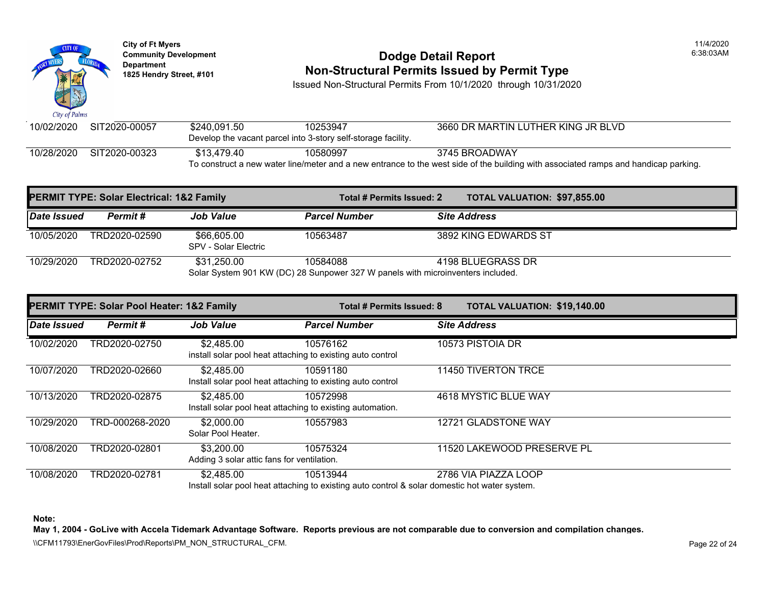

# **Community Develop[ment](https://66,605.00) <b>Dodge Detail Report 1825 Non-Structural Permits Issued by Permit Type**

Issued Non-Structural Permits From 10/1/2020 through 10/31/2020

| 10/02/2020 | SIT2020-00057 | \$240.091.50 | 10253947                                                      | 3660 DR MARTIN LUTHER KING JI                                                                             |
|------------|---------------|--------------|---------------------------------------------------------------|-----------------------------------------------------------------------------------------------------------|
|            |               |              | Develop the vacant parcel into 3-story self-storage facility. |                                                                                                           |
| 10/28/2020 | SIT2020-00323 | \$13.479.40  | 10580997                                                      | 3745 BROADWAY                                                                                             |
|            |               |              |                                                               | To construct a new water line/meter and a new entrance to the west side of the building with associated r |

|             | <b>PERMIT TYPE: Solar Electrical: 1&amp;2 Family</b> |                                     |                                                                                             | <b>TOTAL VALUATION: \$97,855</b><br>Total # Permits Issued: 2 |                      |  |
|-------------|------------------------------------------------------|-------------------------------------|---------------------------------------------------------------------------------------------|---------------------------------------------------------------|----------------------|--|
| Date Issued | Permit #                                             | <b>Job Value</b>                    | <b>Parcel Number</b>                                                                        |                                                               | <b>Site Address</b>  |  |
| 10/05/2020  | TRD2020-02590                                        | \$66,605.00<br>SPV - Solar Electric | 10563487                                                                                    |                                                               | 3892 KING EDWARDS ST |  |
| 10/29/2020  | TRD2020-02752                                        | \$31,250.00                         | 10584088<br>Solar System 901 KW (DC) 28 Sunpower 327 W panels with microinventers included. |                                                               | 4198 BLUEGRASS DR    |  |

|             | <b>PERMIT TYPE: Solar Pool Heater: 1&amp;2 Family</b> |                                                          |                                                                                                           | <b>TOTAL VALUATION: \$19,140</b><br>Total # Permits Issued: 8 |                            |  |
|-------------|-------------------------------------------------------|----------------------------------------------------------|-----------------------------------------------------------------------------------------------------------|---------------------------------------------------------------|----------------------------|--|
| Date Issued | Permit#                                               | <b>Job Value</b>                                         | <b>Parcel Number</b>                                                                                      |                                                               | <b>Site Address</b>        |  |
| 10/02/2020  | FRD2020-02750                                         | \$2.485.00                                               | 10576162<br>install solar pool heat attaching to existing auto control                                    |                                                               | 10573 PISTOIA DR           |  |
| 10/07/2020  | TRD2020-02660                                         | \$2.485.00                                               | 10591180<br>Install solar pool heat attaching to existing auto control                                    |                                                               | 11450 TIVERTON TRCE        |  |
| 10/13/2020  | TRD2020-02875                                         | \$2,485.00                                               | 10572998<br>Install solar pool heat attaching to existing automation.                                     |                                                               | 4618 MYSTIC BLUE WAY       |  |
| 10/29/2020  | TRD-000268-2020                                       | \$2,000.00<br>Solar Pool Heater.                         | 10557983                                                                                                  |                                                               | 12721 GLADSTONE WAY        |  |
| 10/08/2020  | TRD2020-02801                                         | \$3,200.00<br>Adding 3 solar attic fans for ventilation. | 10575324                                                                                                  |                                                               | 11520 LAKEWOOD PRESERVE PL |  |
| 10/08/2020  | TRD2020-02781                                         | \$2,485.00                                               | 10513944<br>Install solar pool heat attaching to existing auto control & solar domestic hot water system. |                                                               | 2786 VIA PIAZZA LOOP       |  |

**Note:**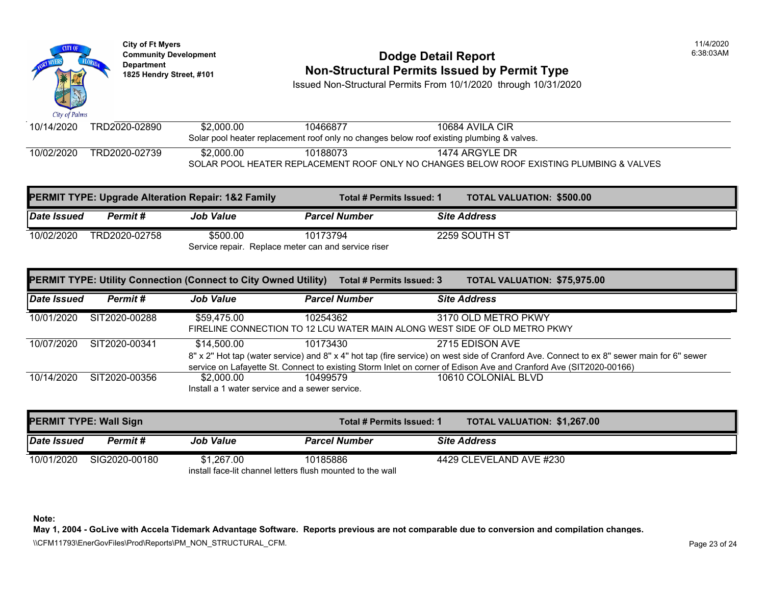

### **Community Development Community Development** Dodge Detail Report **1825 Non-Structural Permits Issued by Permit Type**

Issued Non-Structural Permits From 10/1/2020 through 10/31/2020

| 10/14/2020 | TRD2020-02890 | \$2,000.00 | 10466877 | 10684 AVILA CIR                                                                           |
|------------|---------------|------------|----------|-------------------------------------------------------------------------------------------|
|            |               |            |          | Solar pool heater replacement roof only no changes below roof existing plumbing & valves. |
| 10/02/2020 | TRD2020-02739 | \$2,000,00 | 10188073 | 1474 ARGYLE DR                                                                            |
|            |               |            |          | SOLAR POOL HEATER REPLACEMENT ROOF ONLY NO CHANGES BELOW ROOF EXISTING PLUN               |

|             |               | <b>PERMIT TYPE: Upgrade Alteration Repair: 1&amp;2 Family</b> | Total # Permits Issued: 1                           |                     | <b>TOTAL VALUATION: \$500.00</b> |  |
|-------------|---------------|---------------------------------------------------------------|-----------------------------------------------------|---------------------|----------------------------------|--|
| Date Issued | Permit #      | <b>Job Value</b>                                              | <b>Parcel Number</b>                                | <b>Site Address</b> |                                  |  |
| 10/02/2020  | TRD2020-02758 | \$500.00                                                      | 10173794                                            |                     | 2259 SOUTH ST                    |  |
|             |               |                                                               | Service repair. Replace meter can and service riser |                     |                                  |  |

|                    |               | <b>PERMIT TYPE: Utility Connection (Connect to City Owned Utility)</b> | <b>Total # Permits Issued: 3</b>                           | <b>TOTAL VALUATION: \$75,975</b>                                                                                                                                                                                                          |  |
|--------------------|---------------|------------------------------------------------------------------------|------------------------------------------------------------|-------------------------------------------------------------------------------------------------------------------------------------------------------------------------------------------------------------------------------------------|--|
| <b>Date Issued</b> | Permit #      | <b>Job Value</b>                                                       | <b>Parcel Number</b>                                       | <b>Site Address</b>                                                                                                                                                                                                                       |  |
| 10/01/2020         | SIT2020-00288 | \$59.475.00                                                            | 10254362                                                   | 3170 OLD METRO PKWY<br>FIRELINE CONNECTION TO 12 LCU WATER MAIN ALONG WEST SIDE OF OLD METRO PKWY                                                                                                                                         |  |
| 10/07/2020         | SIT2020-00341 | \$14.500.00                                                            | 10173430                                                   | 2715 EDISON AVE<br>8" x 2" Hot tap (water service) and 8" x 4" hot tap (fire service) on west side of Cranford Ave. Connect to<br>service on Lafayette St. Connect to existing Storm Inlet on corner of Edison Ave and Cranford Ave (SIT2 |  |
| 10/14/2020         | SIT2020-00356 | \$2,000.00                                                             | 10499579<br>Install a 1 water service and a sewer service. | 10610 COLONIAL BLVD                                                                                                                                                                                                                       |  |

| <b>PERMIT TYPE: Wall Sign</b> |               |                  |                                                            | TOTAL VALUATION: \$1,267.0<br>Total # Permits Issued: 1 |  |  |
|-------------------------------|---------------|------------------|------------------------------------------------------------|---------------------------------------------------------|--|--|
| Date Issued                   | Permit #      | <b>Job Value</b> | <b>Parcel Number</b>                                       | <b>Site Address</b>                                     |  |  |
| 10/01/2020                    | SIG2020-00180 | \$1,267.00       | 10185886                                                   | 4429 CLEVELAND AVE #230                                 |  |  |
|                               |               |                  | install face-lit channel letters flush mounted to the wall |                                                         |  |  |

**Note:**